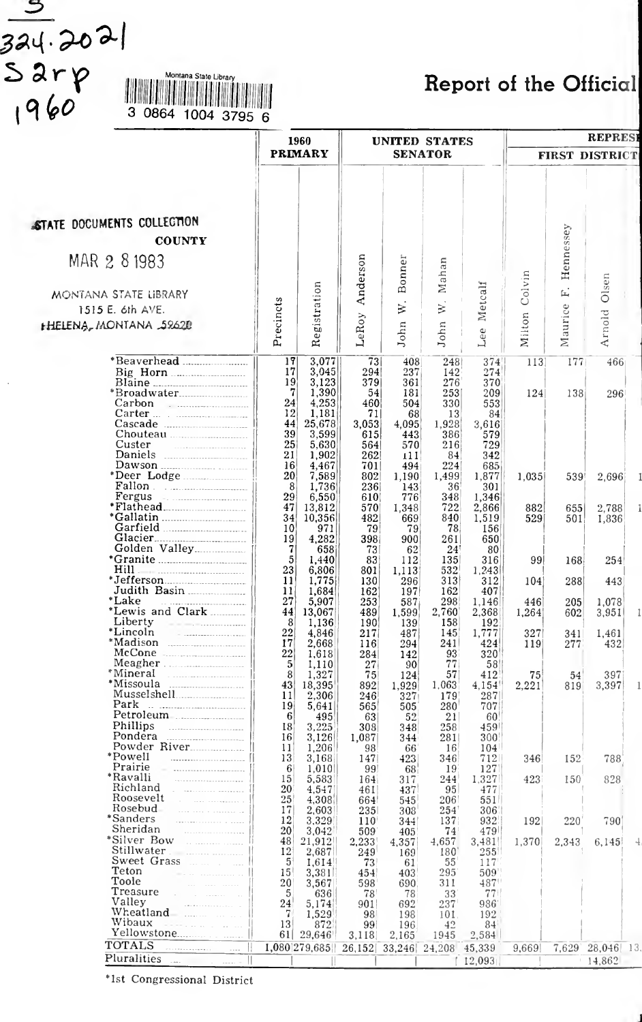$\frac{324.2021}{5278}$ <br> $\frac{324.2021}{7960}$ 

 $\mathcal{S}$ 

# Montana State Ubrary Report of the Official

| <b>PRIMARY</b><br><b>SENATOR</b><br><b>FIRST DISTRICT</b><br>STATE DOCUMENTS COLLECTION<br>Hennessey<br><b>COUNTY</b><br>Anderson<br>MAR 2 8 1983<br>Bonner<br>Mahan<br>Colvin<br>Olsen<br>Registration<br>Metcalf<br>Ē.<br>MONTANA STATE LIBRARY<br>Precincts<br>$\aleph$ .<br>$\aleph$ .<br>Maurice<br>1515 E. 6th AVE.<br>Arnold<br>Milton<br>LeRoy<br><b>HELENA, MONTANA 59620</b><br>John<br>John<br>Lee<br>3,077<br>73<br>17<br>408<br>248<br>374<br>113<br>177<br>466<br>3,045<br>17<br>294<br>237<br>274<br>142<br>19<br>3,123<br>379<br>361<br>276<br>370<br>7<br>1,390<br>54<br>181<br>253<br>209<br>124<br>138<br>296<br>24<br>4,253<br>460<br>504<br>330<br>553<br>12<br>Carter<br>1,181<br>71<br>68<br>13<br>84<br>44<br>25,678<br>3,053<br>4,095<br>1,928<br>3,616<br>39<br>Chouteau <b>Maria Maria Maria Maria Maria Maria Maria Maria Maria Maria Maria Maria Maria Maria Maria Maria Maria M</b><br>3,599<br>615<br>443<br>386<br>579<br>25<br>Custer<br>5,630<br>729<br>564<br>570<br>216<br>the company of the company of the company<br>21<br>1,902<br>262<br>342<br>84<br>111<br>16<br>4,467<br>701<br>494<br>$224^{1}$<br>685<br>20<br>7,589<br>802<br>1,499<br>1,877<br>1,035<br>1,190<br>539<br>2,696<br>8<br>1,736<br>236<br>36<br>301<br>143<br>Fergus<br>29<br>6,550<br>776<br>348<br>1,346<br>610<br>47<br>722<br>13,812<br>5701<br>2,866<br>882<br>1,348<br>655<br>2,788<br>34<br>10,356<br>840<br>482<br>669<br>1,519<br>529<br>1,836<br>501<br>10<br>78<br>971<br>79<br>156<br>79<br>19<br>4.282<br>398<br>261<br>650<br>900<br>7<br>73<br>24!<br>80<br>658<br>62<br>5<br>1,440<br>83<br>112<br>135<br>316<br>99 <br>254<br>168<br>23<br>Hill<br>532<br>6,806<br>801<br>1.113<br>1,243<br>11<br>1,775<br>313<br>130<br>296<br>312<br>288<br>443<br>104<br>Judith Basin<br>11<br>162<br>1,684<br>162<br>407<br>197<br>*Lake<br>27<br>5,907<br>253<br>298<br>1.146<br>1,078<br>587<br>4461<br>205<br>*Lewis and Clark<br>44<br>2,760<br>13,067<br>489<br>1,599<br>2,368<br>1,264<br>602<br>3,951<br>Liberty <u>___</u> ____________<br>8<br>1,136<br>158<br>192<br>190<br>139<br>*Lincoln<br>22<br>145<br>1,777<br>4,846<br>217<br>487<br>327<br>1,461<br>341<br>$*$ Madison<br>17<br>241<br>2,668<br>424<br>116<br>$294^{\circ}$<br>119<br>432<br>277<br>McCone<br>22<br>1,618<br>284<br>142<br>93<br>320<br>Meagher.<br>5<br>1.110<br>27<br>77<br>58<br>-90<br>8<br>1,327<br>57<br>75<br>412<br>397<br>124<br>75<br>54<br>43<br>18,395<br>892<br>1,929<br>1,063<br>4,154<br>2.221<br>3,397<br>819<br>2,306<br>11<br>246<br>327<br>287<br>179<br>Park<br>19<br>5,641<br>565<br>280<br>707<br>505<br>the contract of the contract of the contract of<br>Petroleum<br>6<br>495<br>21<br>63<br>52<br>60<br>Phillips<br>18<br>3,225<br>308<br>258<br>459<br>348<br>Pondera<br>16<br>3,126<br>1,087<br>281<br>300<br>344<br>Powder River<br>11<br>1,206<br>104<br>98<br>66<br>-16<br>*Powell<br>13<br>3,168<br>712<br>788<br>147<br>423<br>346<br>346<br>152<br>Prairie<br>the communication of the com-<br>-6<br>1,010<br>99<br>127<br>68<br>19<br>*Ravalli<br>15<br>5,583<br>1,327<br>828<br>244<br>423<br>164<br>317<br>150<br>Richland<br>20<br>4,547<br>95<br>477<br>461<br>437<br>Roosevelt<br>25<br>4,308<br>206<br>664<br>545<br>551<br>Rosebud<br>There are a concerned by<br>17<br>2,603<br>235<br>254<br>306<br>308<br>*Sanders<br>12<br>and the company of the company of the<br>3,329<br>220<br>790<br>110<br>137<br>932<br>192<br>344<br>Sheridan<br>20<br>3,042<br>74<br>509<br>479<br>405<br>*Silver Bow<br>48<br>21,912<br>2,233<br>1,370<br>4,657<br>3,481<br>2,343<br>6.145<br>4.357<br>Stillwater<br>12<br>2,687<br>2001 - 2002 - 2003 - 2004 - 2005 - 2006 - 2007 - 2008 - 2008 - 2008 - 2008 - 2008 - 2008 - 2008 - 2008 - 2008<br>249<br>180<br>255<br>169<br>Sweet Grass<br>5<br>95 mars 1991<br>1.614<br>73<br>55<br>117<br>61<br>Teton<br>15<br>295<br>509'<br>3,381<br>the property of the control of<br>454<br>403<br>Toole<br>20<br>487'<br>3,567<br>598<br>311<br>690.<br>Treasure<br>and the company of the<br>5<br>636<br>78<br>78<br>33<br>77 <sup>1</sup><br>Valley<br>24<br>5,174<br>237<br>901 <br>692<br>986'<br>Wheatland<br>7<br>1,529<br>192<br>98<br>198<br>101<br>Wibaux<br>13<br>Personal Committee<br>872<br>42<br>84<br>99<br>196<br>61<br>29,646<br>3,118<br>2,165<br>1945<br>2,584<br><b>TOTALS</b><br>1,080 279,685<br>.<br>26,152<br>33,246 24,208 45,339<br>$7,629$ 28,046 13.<br>9,669<br>$\sim$ . $\sim$ .<br>Pluralities |  | 1960 | <b>UNITED STATES</b> |  |  | <b>REPRESI</b> |  |  |
|--------------------------------------------------------------------------------------------------------------------------------------------------------------------------------------------------------------------------------------------------------------------------------------------------------------------------------------------------------------------------------------------------------------------------------------------------------------------------------------------------------------------------------------------------------------------------------------------------------------------------------------------------------------------------------------------------------------------------------------------------------------------------------------------------------------------------------------------------------------------------------------------------------------------------------------------------------------------------------------------------------------------------------------------------------------------------------------------------------------------------------------------------------------------------------------------------------------------------------------------------------------------------------------------------------------------------------------------------------------------------------------------------------------------------------------------------------------------------------------------------------------------------------------------------------------------------------------------------------------------------------------------------------------------------------------------------------------------------------------------------------------------------------------------------------------------------------------------------------------------------------------------------------------------------------------------------------------------------------------------------------------------------------------------------------------------------------------------------------------------------------------------------------------------------------------------------------------------------------------------------------------------------------------------------------------------------------------------------------------------------------------------------------------------------------------------------------------------------------------------------------------------------------------------------------------------------------------------------------------------------------------------------------------------------------------------------------------------------------------------------------------------------------------------------------------------------------------------------------------------------------------------------------------------------------------------------------------------------------------------------------------------------------------------------------------------------------------------------------------------------------------------------------------------------------------------------------------------------------------------------------------------------------------------------------------------------------------------------------------------------------------------------------------------------------------------------------------------------------------------------------------------------------------------------------------------------------------------------------------------------------------------------------------------------------------------------------------------------------------------------------------------------------------------------------------------------------------------------------------------------------------------------------------------------------------------------------------------------------------------------------------------------------------------------------------------------------------------------------------------------------------------------------------------------------------------------------------------------------------------------------------------------------------------------------------------------------------------------------------------------------------------------------------------------------------------------------------------------------------------------------|--|------|----------------------|--|--|----------------|--|--|
|                                                                                                                                                                                                                                                                                                                                                                                                                                                                                                                                                                                                                                                                                                                                                                                                                                                                                                                                                                                                                                                                                                                                                                                                                                                                                                                                                                                                                                                                                                                                                                                                                                                                                                                                                                                                                                                                                                                                                                                                                                                                                                                                                                                                                                                                                                                                                                                                                                                                                                                                                                                                                                                                                                                                                                                                                                                                                                                                                                                                                                                                                                                                                                                                                                                                                                                                                                                                                                                                                                                                                                                                                                                                                                                                                                                                                                                                                                                                                                                                                                                                                                                                                                                                                                                                                                                                                                                                                                                                                                        |  |      |                      |  |  |                |  |  |
|                                                                                                                                                                                                                                                                                                                                                                                                                                                                                                                                                                                                                                                                                                                                                                                                                                                                                                                                                                                                                                                                                                                                                                                                                                                                                                                                                                                                                                                                                                                                                                                                                                                                                                                                                                                                                                                                                                                                                                                                                                                                                                                                                                                                                                                                                                                                                                                                                                                                                                                                                                                                                                                                                                                                                                                                                                                                                                                                                                                                                                                                                                                                                                                                                                                                                                                                                                                                                                                                                                                                                                                                                                                                                                                                                                                                                                                                                                                                                                                                                                                                                                                                                                                                                                                                                                                                                                                                                                                                                                        |  |      |                      |  |  |                |  |  |
|                                                                                                                                                                                                                                                                                                                                                                                                                                                                                                                                                                                                                                                                                                                                                                                                                                                                                                                                                                                                                                                                                                                                                                                                                                                                                                                                                                                                                                                                                                                                                                                                                                                                                                                                                                                                                                                                                                                                                                                                                                                                                                                                                                                                                                                                                                                                                                                                                                                                                                                                                                                                                                                                                                                                                                                                                                                                                                                                                                                                                                                                                                                                                                                                                                                                                                                                                                                                                                                                                                                                                                                                                                                                                                                                                                                                                                                                                                                                                                                                                                                                                                                                                                                                                                                                                                                                                                                                                                                                                                        |  |      |                      |  |  |                |  |  |
|                                                                                                                                                                                                                                                                                                                                                                                                                                                                                                                                                                                                                                                                                                                                                                                                                                                                                                                                                                                                                                                                                                                                                                                                                                                                                                                                                                                                                                                                                                                                                                                                                                                                                                                                                                                                                                                                                                                                                                                                                                                                                                                                                                                                                                                                                                                                                                                                                                                                                                                                                                                                                                                                                                                                                                                                                                                                                                                                                                                                                                                                                                                                                                                                                                                                                                                                                                                                                                                                                                                                                                                                                                                                                                                                                                                                                                                                                                                                                                                                                                                                                                                                                                                                                                                                                                                                                                                                                                                                                                        |  |      |                      |  |  |                |  |  |
|                                                                                                                                                                                                                                                                                                                                                                                                                                                                                                                                                                                                                                                                                                                                                                                                                                                                                                                                                                                                                                                                                                                                                                                                                                                                                                                                                                                                                                                                                                                                                                                                                                                                                                                                                                                                                                                                                                                                                                                                                                                                                                                                                                                                                                                                                                                                                                                                                                                                                                                                                                                                                                                                                                                                                                                                                                                                                                                                                                                                                                                                                                                                                                                                                                                                                                                                                                                                                                                                                                                                                                                                                                                                                                                                                                                                                                                                                                                                                                                                                                                                                                                                                                                                                                                                                                                                                                                                                                                                                                        |  |      |                      |  |  |                |  |  |
|                                                                                                                                                                                                                                                                                                                                                                                                                                                                                                                                                                                                                                                                                                                                                                                                                                                                                                                                                                                                                                                                                                                                                                                                                                                                                                                                                                                                                                                                                                                                                                                                                                                                                                                                                                                                                                                                                                                                                                                                                                                                                                                                                                                                                                                                                                                                                                                                                                                                                                                                                                                                                                                                                                                                                                                                                                                                                                                                                                                                                                                                                                                                                                                                                                                                                                                                                                                                                                                                                                                                                                                                                                                                                                                                                                                                                                                                                                                                                                                                                                                                                                                                                                                                                                                                                                                                                                                                                                                                                                        |  |      |                      |  |  |                |  |  |
|                                                                                                                                                                                                                                                                                                                                                                                                                                                                                                                                                                                                                                                                                                                                                                                                                                                                                                                                                                                                                                                                                                                                                                                                                                                                                                                                                                                                                                                                                                                                                                                                                                                                                                                                                                                                                                                                                                                                                                                                                                                                                                                                                                                                                                                                                                                                                                                                                                                                                                                                                                                                                                                                                                                                                                                                                                                                                                                                                                                                                                                                                                                                                                                                                                                                                                                                                                                                                                                                                                                                                                                                                                                                                                                                                                                                                                                                                                                                                                                                                                                                                                                                                                                                                                                                                                                                                                                                                                                                                                        |  |      |                      |  |  |                |  |  |
|                                                                                                                                                                                                                                                                                                                                                                                                                                                                                                                                                                                                                                                                                                                                                                                                                                                                                                                                                                                                                                                                                                                                                                                                                                                                                                                                                                                                                                                                                                                                                                                                                                                                                                                                                                                                                                                                                                                                                                                                                                                                                                                                                                                                                                                                                                                                                                                                                                                                                                                                                                                                                                                                                                                                                                                                                                                                                                                                                                                                                                                                                                                                                                                                                                                                                                                                                                                                                                                                                                                                                                                                                                                                                                                                                                                                                                                                                                                                                                                                                                                                                                                                                                                                                                                                                                                                                                                                                                                                                                        |  |      |                      |  |  |                |  |  |
|                                                                                                                                                                                                                                                                                                                                                                                                                                                                                                                                                                                                                                                                                                                                                                                                                                                                                                                                                                                                                                                                                                                                                                                                                                                                                                                                                                                                                                                                                                                                                                                                                                                                                                                                                                                                                                                                                                                                                                                                                                                                                                                                                                                                                                                                                                                                                                                                                                                                                                                                                                                                                                                                                                                                                                                                                                                                                                                                                                                                                                                                                                                                                                                                                                                                                                                                                                                                                                                                                                                                                                                                                                                                                                                                                                                                                                                                                                                                                                                                                                                                                                                                                                                                                                                                                                                                                                                                                                                                                                        |  |      |                      |  |  |                |  |  |
|                                                                                                                                                                                                                                                                                                                                                                                                                                                                                                                                                                                                                                                                                                                                                                                                                                                                                                                                                                                                                                                                                                                                                                                                                                                                                                                                                                                                                                                                                                                                                                                                                                                                                                                                                                                                                                                                                                                                                                                                                                                                                                                                                                                                                                                                                                                                                                                                                                                                                                                                                                                                                                                                                                                                                                                                                                                                                                                                                                                                                                                                                                                                                                                                                                                                                                                                                                                                                                                                                                                                                                                                                                                                                                                                                                                                                                                                                                                                                                                                                                                                                                                                                                                                                                                                                                                                                                                                                                                                                                        |  |      |                      |  |  |                |  |  |
|                                                                                                                                                                                                                                                                                                                                                                                                                                                                                                                                                                                                                                                                                                                                                                                                                                                                                                                                                                                                                                                                                                                                                                                                                                                                                                                                                                                                                                                                                                                                                                                                                                                                                                                                                                                                                                                                                                                                                                                                                                                                                                                                                                                                                                                                                                                                                                                                                                                                                                                                                                                                                                                                                                                                                                                                                                                                                                                                                                                                                                                                                                                                                                                                                                                                                                                                                                                                                                                                                                                                                                                                                                                                                                                                                                                                                                                                                                                                                                                                                                                                                                                                                                                                                                                                                                                                                                                                                                                                                                        |  |      |                      |  |  |                |  |  |
|                                                                                                                                                                                                                                                                                                                                                                                                                                                                                                                                                                                                                                                                                                                                                                                                                                                                                                                                                                                                                                                                                                                                                                                                                                                                                                                                                                                                                                                                                                                                                                                                                                                                                                                                                                                                                                                                                                                                                                                                                                                                                                                                                                                                                                                                                                                                                                                                                                                                                                                                                                                                                                                                                                                                                                                                                                                                                                                                                                                                                                                                                                                                                                                                                                                                                                                                                                                                                                                                                                                                                                                                                                                                                                                                                                                                                                                                                                                                                                                                                                                                                                                                                                                                                                                                                                                                                                                                                                                                                                        |  |      |                      |  |  |                |  |  |
|                                                                                                                                                                                                                                                                                                                                                                                                                                                                                                                                                                                                                                                                                                                                                                                                                                                                                                                                                                                                                                                                                                                                                                                                                                                                                                                                                                                                                                                                                                                                                                                                                                                                                                                                                                                                                                                                                                                                                                                                                                                                                                                                                                                                                                                                                                                                                                                                                                                                                                                                                                                                                                                                                                                                                                                                                                                                                                                                                                                                                                                                                                                                                                                                                                                                                                                                                                                                                                                                                                                                                                                                                                                                                                                                                                                                                                                                                                                                                                                                                                                                                                                                                                                                                                                                                                                                                                                                                                                                                                        |  |      |                      |  |  |                |  |  |
|                                                                                                                                                                                                                                                                                                                                                                                                                                                                                                                                                                                                                                                                                                                                                                                                                                                                                                                                                                                                                                                                                                                                                                                                                                                                                                                                                                                                                                                                                                                                                                                                                                                                                                                                                                                                                                                                                                                                                                                                                                                                                                                                                                                                                                                                                                                                                                                                                                                                                                                                                                                                                                                                                                                                                                                                                                                                                                                                                                                                                                                                                                                                                                                                                                                                                                                                                                                                                                                                                                                                                                                                                                                                                                                                                                                                                                                                                                                                                                                                                                                                                                                                                                                                                                                                                                                                                                                                                                                                                                        |  |      |                      |  |  |                |  |  |
|                                                                                                                                                                                                                                                                                                                                                                                                                                                                                                                                                                                                                                                                                                                                                                                                                                                                                                                                                                                                                                                                                                                                                                                                                                                                                                                                                                                                                                                                                                                                                                                                                                                                                                                                                                                                                                                                                                                                                                                                                                                                                                                                                                                                                                                                                                                                                                                                                                                                                                                                                                                                                                                                                                                                                                                                                                                                                                                                                                                                                                                                                                                                                                                                                                                                                                                                                                                                                                                                                                                                                                                                                                                                                                                                                                                                                                                                                                                                                                                                                                                                                                                                                                                                                                                                                                                                                                                                                                                                                                        |  |      |                      |  |  |                |  |  |
|                                                                                                                                                                                                                                                                                                                                                                                                                                                                                                                                                                                                                                                                                                                                                                                                                                                                                                                                                                                                                                                                                                                                                                                                                                                                                                                                                                                                                                                                                                                                                                                                                                                                                                                                                                                                                                                                                                                                                                                                                                                                                                                                                                                                                                                                                                                                                                                                                                                                                                                                                                                                                                                                                                                                                                                                                                                                                                                                                                                                                                                                                                                                                                                                                                                                                                                                                                                                                                                                                                                                                                                                                                                                                                                                                                                                                                                                                                                                                                                                                                                                                                                                                                                                                                                                                                                                                                                                                                                                                                        |  |      |                      |  |  |                |  |  |
|                                                                                                                                                                                                                                                                                                                                                                                                                                                                                                                                                                                                                                                                                                                                                                                                                                                                                                                                                                                                                                                                                                                                                                                                                                                                                                                                                                                                                                                                                                                                                                                                                                                                                                                                                                                                                                                                                                                                                                                                                                                                                                                                                                                                                                                                                                                                                                                                                                                                                                                                                                                                                                                                                                                                                                                                                                                                                                                                                                                                                                                                                                                                                                                                                                                                                                                                                                                                                                                                                                                                                                                                                                                                                                                                                                                                                                                                                                                                                                                                                                                                                                                                                                                                                                                                                                                                                                                                                                                                                                        |  |      |                      |  |  |                |  |  |

•1st Congressional District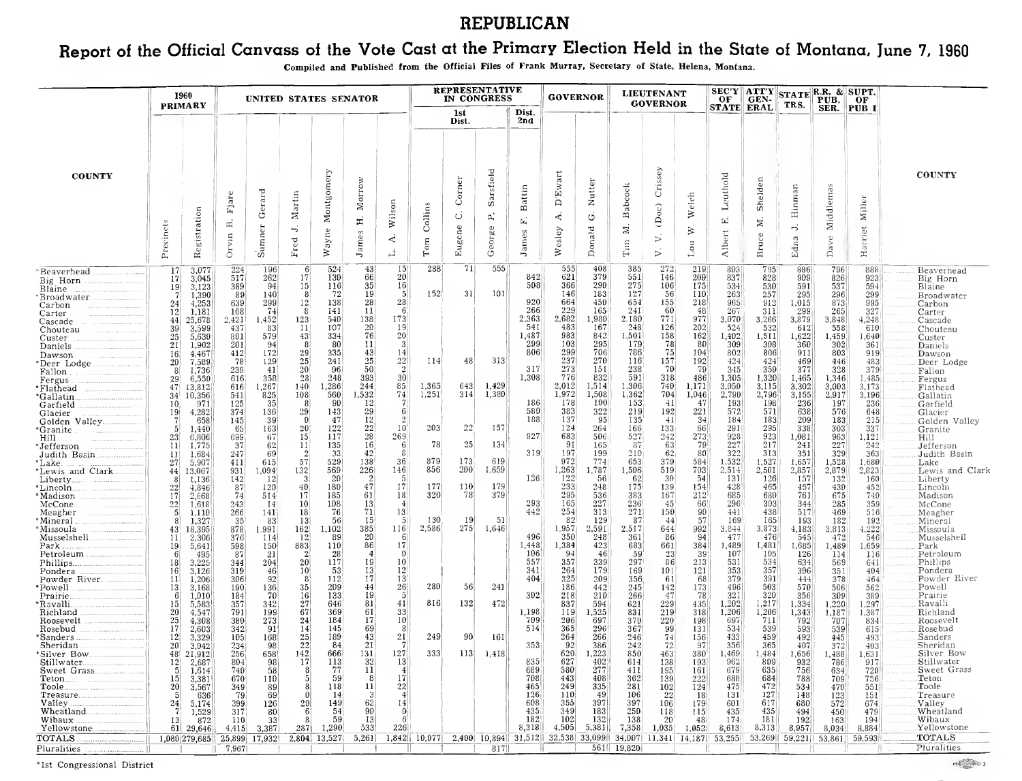## REPUBLICAN

# Report of the Official Canvass of the Vote Cast at the Primary Election Held in the State of Montana. June 7, <sup>1960</sup>

Compiled and Published from the Official Files of Frank Murray, Secretary of State, Helena, Montana.

| SEC'Y ATT'Y STATE R.R. & SUPT.<br>OF GEN-<br><b>GOVERNOR</b><br><b>PRIMARY</b><br>TRS.<br><b>STATE ERAL</b><br>SER. PUB I<br>Dist.<br>1st<br>2nd<br>Dist.<br>Crissey<br>Sarsfield<br>Montgomery<br>Ewart<br><b>COUNTY</b><br>Leuthold<br><b>COUNTY</b><br>Corner<br>Morrow<br>Shelden<br>Nutter<br>Babcock<br>Middlemas<br>Hinman<br>Battin<br>Gerard<br>Fjare<br>Martin<br>elch<br>Miller<br>۵<br>Wilson<br>Collins<br>$\left( \mathrm{Doc} \right)$<br>Registration<br>$\gtrsim$<br>4<br>◡<br>ς.<br>ゼ<br>E,<br>$\mathbf{L}_\mathbf{t}$<br>H<br>Ä<br>Z<br>Precincts<br>Sumner<br>H,<br>Eugene<br>Harriet<br>George<br>Donald<br>$\mathbf{z}$<br>∽.<br>Wesley<br>₹<br>Wayne<br>Albert<br>ames<br>James<br>Bruce<br>yin<br>$\mathbbmss{G}$<br>Edna<br>4<br>⊳<br>$_{\rm Fred}$<br>$_{\rm Tom}$<br>$\lim$<br>Lou<br>Dav.<br>$\ddot{\circ}$<br>$\overline{p}$ .<br>ュ<br>288<br>71<br>555<br>555<br>272<br>524<br> 43 <br> 15 <br>408<br>385<br>219<br>795<br>803<br>796<br>224<br>886<br>888<br>196<br>3,077<br>Beaverhead<br>17 <sub>1</sub><br>20 <sup>1</sup><br>621<br>379<br>551<br>130<br>66<br>842<br>146<br>209<br>837<br>828<br>517<br>262<br>17<br>909<br>826<br> 17 <br>3,045<br>923<br>Big Horn<br>Big Horn<br>290<br>35 <sup>2</sup><br>16 <sub>1</sub><br>508<br>366<br>275<br>106<br>175<br>15<br>-94<br>116<br>534<br>530<br>591<br>537<br>594<br>3,123<br> 389 <br>Blaine<br>19 <sup>°</sup><br>Blaine<br>152<br>31<br> 101 <br>146<br>183<br>127<br>56<br>72<br>19<br>$\vert 5 \vert$<br>110<br>263<br>257<br>89<br>295<br>296<br>299<br>1,390<br>140<br>Broadwater<br>Broadwater<br>. <b>.</b><br>654<br>28<br>28<br>920<br>664<br>450<br>155<br>218<br>965<br>299<br>12<br>138<br>912<br>1,015<br>873<br>639<br>995<br>4,253<br> 24 <br>Carbon<br>Carbon<br>$\left  \frac{74}{5} \right $<br>229<br>60<br>-6.<br>266<br>165<br>241<br>48<br>267<br>141<br> 11 <br>299<br>327<br>1,181<br>168<br>311<br>265<br> 12 <br>Carter<br>Carter<br>173<br>2,363<br>2,682<br>1,980<br>771<br>977<br>138<br>2,180<br>123<br>3,070<br>3,266<br>3,879<br>2,421<br>l,452)<br>540<br>3,848<br>4,248<br>44<br>25,678<br>Cascade<br>Cascade<br>.<br>20 <sup>1</sup><br>483<br>541<br>167<br>126<br>202<br>107<br>248<br>532<br>11<br>19.<br>-524<br>612<br>558<br>39<br>3,599<br>437<br>-83<br>610<br>Chouteau<br>Chouteau<br>983<br>158<br>162<br>76<br>20 <sup>1</sup><br>842<br>25 <sub>2</sub><br>334<br>1,487<br>1,501<br>1,402<br>1,511<br>1,622<br>5,630<br>801<br>579<br>43<br>1,459<br>1,640<br>Custer<br>103<br> 21 <br>299<br>295<br>179<br>78<br>201<br>80<br>11<br>80<br>309<br>308<br>360<br> 302 <br>361<br>1,902<br>-31<br>-94<br><b>Daniels</b><br>Daniels<br>299<br>706<br>75<br>29<br>335<br> 43 <br>806<br>786<br>104<br>802<br>806<br>803<br>412<br>172<br>911<br>14<br>919<br>4,467<br>16 <sup>1</sup><br>Dawson<br>Dawson<br>25<br>237<br>270<br>25 <sub>1</sub><br> 22 <br>48<br>313<br>157<br>192<br>424<br>241<br>114<br>116<br>$\frac{424}{359}$<br>78<br>129<br>469<br>446<br>483<br>20<br>7,589<br>Deer Lodge<br>*Deer Lodge.<br>. <b>.</b><br>50<br>$\vert$ 2<br>273<br>70<br>377<br>151<br>238<br>-79 <br>20<br>96<br>317<br>345<br>8 <sup>′</sup><br>239<br>$-41$<br>328<br>379<br>1,736<br>Fallon<br>Fallon.<br>-------------------------<br>776<br>248<br>$ 30\rangle$<br>591<br>318<br>28<br>393<br>1,308<br>832<br>486<br>1,305<br>1,320<br>358<br>1,465<br>1,346<br>1,485<br>616<br>29<br>6,550<br>Fergus<br>Fergus<br>244<br>85 <sup>2</sup><br>1,365<br>1,429<br>2,012<br>1,514<br>1,306<br>740<br>1,171<br>3,115<br>1,267<br>1,286<br>643<br>3,050<br>3,302<br>47 <sup>°</sup><br>616<br>3,003<br>3,173<br>13,812<br><b>140</b><br>Flathead<br>*Flathead<br>825<br>1,251<br>1,380<br>1,972<br>1,508<br>2,796<br>560<br>1,532<br>74<br>314<br>1,362<br>704<br>1,046<br>2,790<br>3,155<br>2,917<br>108<br>3,196<br>541<br>10,356<br>34 <sup>1</sup><br>Gallatin<br>*Gallatin.<br>100<br>153<br>186<br>-178<br> 198 <br>125<br>35<br>-90<br> 12 <br>41<br>-47<br>193<br>236<br>197<br>236<br>971<br>Garfield<br>10.<br>Garfield<br>572<br>29<br>580<br>383<br>576<br>322<br>192<br>221<br>571<br>638<br>136<br>29<br>143<br>219<br>648<br>19<br>4,282<br>374<br>6<br>Glacier<br>Glacier<br>12<br>188<br>137<br>47<br>$-41$<br> 34 <br>183<br>209<br>183<br>658<br>39<br>95<br>135<br>184<br>215<br>145<br>Golden Valley<br>Golden Valley<br>157<br>$\frac{22}{28}$<br>22<br>122<br>203<br>124<br>66<br>295<br>338<br>20<br>264<br>166<br>133<br>291<br>303<br>337<br>65<br>163<br>$10^{\circ}$<br>1,440<br>5 <sup>1</sup><br>'Granite<br>Granite<br>927<br>923<br>117<br>269<br>683<br>527<br>242<br>273<br>928<br>23<br>699<br>67<br>15<br>506<br>1,081<br>963<br>1,121<br>6,806<br>Hill<br>Hill <b>Hill Experience International Property</b><br>16<br>78<br>25<br>134<br>91<br>63<br>227<br>217<br>227<br>37<br>135<br>-79 <br>62<br>11<br>165<br>-87<br>241<br>1,775<br>242<br>11<br>6<br>Jefferson<br>'Jefferson<br>322<br>62 <sub>1</sub><br> 42 <br>319<br>197<br>210<br>313<br>69<br>33<br>80<br>329<br>247<br>8<br>199<br>351<br>363<br>Judith Basin<br>1,684<br>Judith Basin<br> 11 <br>879<br>173<br>57<br>529<br>619<br>379<br>1,532<br>138<br>36<br>972<br> 774 <br>653<br>584<br>1,527<br>1,657<br>27<br>615<br>1,528<br>1,680<br>5,907<br>411<br>Lake<br>'Lake.<br>856<br>200<br>1,263<br>569<br>226<br>146<br>1,659<br>1,787<br>519<br>703<br>132<br>1,506<br>2,514<br>2,501<br>2,857<br>2,879<br>2,823<br>931<br>1,094<br>Lewis and Clark<br>*Lewis and Clark.<br>13,067<br>44<br>126<br>122<br>157<br>20<br>$\vert$ 2<br>30 <sup>°</sup><br>54<br>131<br>$\lceil 126 \rceil$<br> 12 <br>56<br>62<br> 132 <br>160<br>142<br>1,136<br>Liberty<br>47<br>177<br>179<br>233<br>40<br> 17 <br>110<br>248<br>154<br>428<br>465<br>22<br>120<br>180<br>175<br>139<br>457<br>430<br>452<br>*Lincoln.<br>87<br>Lincoln<br>4,846<br>295<br>61<br>320<br>78<br>$212^{1}$<br>74<br>17<br>185<br>379<br>167<br>685<br>680<br>17<br> 18 <br>536<br>383<br>761<br>675<br>740<br>2,668<br>514<br>Madison<br>*Madison *<br>165<br>227<br>$\frac{22}{5}$<br>108<br>13<br>293'<br>236<br>45<br>296<br>303<br>243<br>10 <sup>1</sup><br>-66'<br>344<br>285<br>359<br>McCone.<br>1,618<br>-14<br>$\left 4\right $<br>McCone<br>254<br>76<br>71<br>442<br>313<br>271<br>90<br>441<br>438<br>469<br>Meagher<br>18<br> 13 <br>150<br>517<br>516<br>266<br>1,110<br>141<br>Meagher<br>130<br>-19  <br>51<br>-82<br>57<br>165<br>182<br>192<br>35<br>56<br>15 <sup>1</sup><br>$\sqrt{2}$<br>129<br>-87<br>193<br>Mineral)<br>1,327<br> 13 <br>-44<br>-169<br>-83<br>Mineral<br>275<br>2,586<br>385<br>1,646<br>1,957<br>$\begin{bmatrix} 992 \\ 94 \end{bmatrix}$<br> 116 <br>2,517<br>3,873<br>4,222<br>Missoula<br>162<br>1,102<br>2,591<br>644<br>3,844<br>4,183<br>3,813<br>43.<br>18,395<br>878<br>1,991<br>Missoula<br>20<br>350<br>248<br>477<br>476<br>496<br>545<br>Musselshell<br>114<br>89<br>361<br>86<br>-472<br>546<br>2,306<br>376<br>-12<br>6<br>Musselshell<br> 11 <br>86<br> 17 <br>384<br>883<br>110<br>1,448<br>1,384<br>423<br>683<br>661<br>1,489<br>1,481<br>1,685<br>Park .<br>598<br>1,489<br>1,659<br>19 <sup>°</sup><br>5,641<br>150<br>Park<br>106<br>28<br>-94<br>-46<br>59<br> 23 <br>$39^{1}$<br>107<br>105<br>126<br>87<br>-21<br>$\overline{4}$<br>$\Omega$<br>116<br>Petroleum<br>Petroleum<br>495<br>114<br>557<br>204<br>20 <sup>1</sup><br>117<br>19<br>357<br>339<br>297<br>86<br>213<br>531<br>534<br>3,225<br>10 <sup>1</sup><br>634<br> 18 <br>344<br>641<br>Phillips<br>569<br>3,126<br>$ 319\rangle$<br>46<br>10<br>53<br><sup>13</sup><br>$12^{\circ}$<br>341<br>264<br>179<br>169<br>101<br> 121 <br>353<br>357<br>396<br>351<br>404<br>Pondera<br>16.<br>Pondera<br><br>325<br>379<br>Powder River<br>92<br> 17 <br>404<br>68<br>391<br>306<br>-8<br>112<br>$13^{\circ}$<br>209<br>356<br>61<br>444<br>378<br>464<br>11 <sup>1</sup><br>1,206<br>280<br>$-44$<br>26 <br>56<br>241<br>186<br>496<br>35<br>209<br>442<br>142<br>173<br>503<br>570<br>Powell<br> 13 <br>3,168<br>190<br>136<br>245<br>506<br>562.<br>"Powell"<br>320<br>302<br>321<br>-70<br>16<br>133<br>19)<br>$\overline{5}$<br>218<br>210<br>-781<br>Prairie<br>184<br>266<br>47<br>356<br>309<br>389<br>1,010<br>-6<br>Prairie.<br>816<br>472<br>132<br>27<br> 41 <br>229<br>1,202<br>1,217<br>Ravalli<br>15 <sup>1</sup><br>357<br>646<br> 81 <br>837<br>1,220<br>1,297<br>342<br>594<br>621<br>435<br>1,334<br>'Ravalli.<br>5,583<br>67<br>61<br>369<br>33<br>318<br>1,206<br><b>20</b><br>791<br>199<br>1,198<br>119<br>1,525<br>831<br>219<br>1,206<br>1,387<br>Richland<br>4,547<br>1,343<br>Richland<br>1,187<br> 17 <br>$\frac{25}{17}$<br>273<br>184<br>697<br>220<br>792<br>380<br>24<br>10 <sup>1</sup><br>709<br>206<br>697<br>711<br>370<br>198<br>Roosevelt<br>Roosevelt<br>4,308<br>707<br>834<br>145<br>69<br>365<br>514<br>296<br>99<br>534<br>Rosebud<br>Rosebud<br>2,603<br>342<br>$91^{\circ}$<br>14<br>367<br>131<br>539<br>593<br>539<br>615<br>264<br>25<br>189<br>43<br>21<br>249<br>90<br>266<br>246<br>433<br>459<br> 12 <br>3,329<br>105<br>168<br>161<br> 74 <br>156<br>492<br>493<br>Sanders<br>'Sanders :<br>445<br>22<br> 21 <br>92<br>84<br>353<br>386<br>72<br>356<br>365<br>Sheridan<br>Sheridan<br>20 <sup>1</sup><br>234<br>-98<br>242<br>-97<br>407<br>372<br>403<br>3,042<br>.<br>333<br>256<br>142<br>666<br>131<br>127<br>113<br>620<br>1,223<br>Silver Bow<br>48<br>658<br>1,418<br>850<br>$380^{\circ}$<br>1,469<br>1,484<br>1,656<br>463<br>1,488<br>1,631<br>*Silver Bow…<br>21,912<br>17<br> 32 <br>627<br>402<br>804<br>113<br>835<br>138<br>962<br>809<br>Stillwater<br> 12 <br>-98<br>193<br>932<br>786<br>2,687<br><sup>13</sup><br>614<br>917<br>Stillwater<br>277<br>77<br> 11 <br>689<br>580<br>195<br>679<br>635<br>Sweet Grass<br>411<br>161<br>756<br>5 <sup>1</sup><br>740<br>-58<br>720<br>1,614<br>634<br>222<br>59<br> 8 <br>708<br>443<br>408<br>684<br>Teton<br>-171<br>362<br>139<br>688<br>788<br>15 <sub>1</sub><br>3,381<br>670<br>110<br>709<br>756<br>Teton<br>335<br>475<br>472<br> 11 <br>22<br>249<br><b>20</b><br>118<br>465<br>281<br>102<br>124<br>.Toole<br>3,567<br>349<br>534<br>551<br>Toole…<br>-89 <br>470<br>127<br>126<br>110<br>-49<br>22<br>-79<br>14<br>$\vert 3 \vert$<br>$\vert 4 \vert$<br>106<br>131<br>148<br>151<br>636<br>-69<br> 18 <br>123<br>Treasure<br>62<br>608<br>355<br>397<br>24<br>20 <sub>l</sub><br>149<br>14<br>397<br>617<br>572<br>5,174<br>399<br>126<br>106<br>179<br>601<br>680<br>674<br>Valley<br>435<br>349<br>250<br>90<br><b>183</b><br>118<br>435<br>Wheatland<br>Wheatland<br>317<br>-61<br>54<br>115<br>435<br>494<br>479<br>1,529<br> 80 <br>$\mathbf{D}$<br>450<br>182<br>102<br>132<br>181<br>33 <sup>°</sup><br>59<br><b>13</b><br>6<br> 138 <br>20<br> 192 <br>194<br>Wibaux<br>872<br>110<br>174<br>163<br>Wibaux.<br>13 <sup>°</sup><br>48<br>8,318<br>4,505<br>5,381<br>1,290<br>533<br>226<br>7,358<br>8,313<br>Yellowstone.<br>1,035<br>1,052<br>8,613<br>8,957<br>2871<br>8,034<br>8,884<br>61 29,646 <br>4,415<br>3,387<br>$1,842$   10,077 <br>2,400 10,894 31,512 32,538 33,099<br>2,804 13,527<br>34,007 11,341 14,187 53,255<br>$53,269$ $59,221$<br>25,899 17,932<br>53,861   59,593 |                                  |  |       |  |  |  |  |  |  |  |        |
|----------------------------------------------------------------------------------------------------------------------------------------------------------------------------------------------------------------------------------------------------------------------------------------------------------------------------------------------------------------------------------------------------------------------------------------------------------------------------------------------------------------------------------------------------------------------------------------------------------------------------------------------------------------------------------------------------------------------------------------------------------------------------------------------------------------------------------------------------------------------------------------------------------------------------------------------------------------------------------------------------------------------------------------------------------------------------------------------------------------------------------------------------------------------------------------------------------------------------------------------------------------------------------------------------------------------------------------------------------------------------------------------------------------------------------------------------------------------------------------------------------------------------------------------------------------------------------------------------------------------------------------------------------------------------------------------------------------------------------------------------------------------------------------------------------------------------------------------------------------------------------------------------------------------------------------------------------------------------------------------------------------------------------------------------------------------------------------------------------------------------------------------------------------------------------------------------------------------------------------------------------------------------------------------------------------------------------------------------------------------------------------------------------------------------------------------------------------------------------------------------------------------------------------------------------------------------------------------------------------------------------------------------------------------------------------------------------------------------------------------------------------------------------------------------------------------------------------------------------------------------------------------------------------------------------------------------------------------------------------------------------------------------------------------------------------------------------------------------------------------------------------------------------------------------------------------------------------------------------------------------------------------------------------------------------------------------------------------------------------------------------------------------------------------------------------------------------------------------------------------------------------------------------------------------------------------------------------------------------------------------------------------------------------------------------------------------------------------------------------------------------------------------------------------------------------------------------------------------------------------------------------------------------------------------------------------------------------------------------------------------------------------------------------------------------------------------------------------------------------------------------------------------------------------------------------------------------------------------------------------------------------------------------------------------------------------------------------------------------------------------------------------------------------------------------------------------------------------------------------------------------------------------------------------------------------------------------------------------------------------------------------------------------------------------------------------------------------------------------------------------------------------------------------------------------------------------------------------------------------------------------------------------------------------------------------------------------------------------------------------------------------------------------------------------------------------------------------------------------------------------------------------------------------------------------------------------------------------------------------------------------------------------------------------------------------------------------------------------------------------------------------------------------------------------------------------------------------------------------------------------------------------------------------------------------------------------------------------------------------------------------------------------------------------------------------------------------------------------------------------------------------------------------------------------------------------------------------------------------------------------------------------------------------------------------------------------------------------------------------------------------------------------------------------------------------------------------------------------------------------------------------------------------------------------------------------------------------------------------------------------------------------------------------------------------------------------------------------------------------------------------------------------------------------------------------------------------------------------------------------------------------------------------------------------------------------------------------------------------------------------------------------------------------------------------------------------------------------------------------------------------------------------------------------------------------------------------------------------------------------------------------------------------------------------------------------------------------------------------------------------------------------------------------------------------------------------------------------------------------------------------------------------------------------------------------------------------------------------------------------------------------------------------------------------------------------------------------------------------------------------------------------------------------------------------------------------------------------------------------------------------------------------------------------------------------------------------------------------------------------------------------------------------------------------------------------------------------------------------------------------------------------------------------------------------------------------------------------------------------------------------------------------------------------------------------------------------------------------------------------------------------------------------------------------------------------------------------------------------------------------------------------------------------------------------------------------------------------------------------------------------------------------------------------------------------------------------------------------------------------------------------------------------------------------------------------------------------------------------------------------------------------------------------------------------------------------------------------------------------------------------------------------------------------------------------------------------------------------------------------------------------------------------------------------------------------------------------------------------------------------------------------------------------------------------------------------------------------------------------------------------------------------------------------------------------------------------------------------------------------------------------------------------------------------------------------------------------------------------------------------------------------------------------------------------------------------------------------------------------------------------------------------------------------------------------------------------------------------------------------------------------------------------------------------------------------------------------------------------------------------------------------------------------------------------------------------------------------------------------------------------------------------------------------------------------------------------------------------------------------------------------------------------------------------------------------------------------------------------------------------------------------------------------------------------------------------------------------------------------------------------------------------------------------------------------------------------------------------------------------------------------------------------------------------------------------------------------------------------------------------------------------------------------------------------------------------------------------------------------------------------------------------------------------------------------------------------------------------------------------------------------------------------------------------------------------------------------------------------------------------------------------------------------------------------------------------------------------------------------------------------------------------------------------------------------------------------------------------------------------------------------------------------------------------------------------------------------------------------------------------------------------------------------------------------------------------------------------------------------------------------------------|----------------------------------|--|-------|--|--|--|--|--|--|--|--------|
|                                                                                                                                                                                                                                                                                                                                                                                                                                                                                                                                                                                                                                                                                                                                                                                                                                                                                                                                                                                                                                                                                                                                                                                                                                                                                                                                                                                                                                                                                                                                                                                                                                                                                                                                                                                                                                                                                                                                                                                                                                                                                                                                                                                                                                                                                                                                                                                                                                                                                                                                                                                                                                                                                                                                                                                                                                                                                                                                                                                                                                                                                                                                                                                                                                                                                                                                                                                                                                                                                                                                                                                                                                                                                                                                                                                                                                                                                                                                                                                                                                                                                                                                                                                                                                                                                                                                                                                                                                                                                                                                                                                                                                                                                                                                                                                                                                                                                                                                                                                                                                                                                                                                                                                                                                                                                                                                                                                                                                                                                                                                                                                                                                                                                                                                                                                                                                                                                                                                                                                                                                                                                                                                                                                                                                                                                                                                                                                                                                                                                                                                                                                                                                                                                                                                                                                                                                                                                                                                                                                                                                                                                                                                                                                                                                                                                                                                                                                                                                                                                                                                                                                                                                                                                                                                                                                                                                                                                                                                                                                                                                                                                                                                                                                                                                                                                                                                                                                                                                                                                                                                                                                                                                                                                                                                                                                                                                                                                                                                                                                                                                                                                                                                                                                                                                                                                                                                                                                                                                                                                                                                                                                                                                                                                                                                                                                                                                                                                                                                                                                                                                                                                                                                                                                                                                                                                                                                                                                                                                                                                                                                                                                                                                                                                                                                                                                                                                                                                                                                                                                                                                                                                                                                                                                                                                                                      |                                  |  |       |  |  |  |  |  |  |  |        |
|                                                                                                                                                                                                                                                                                                                                                                                                                                                                                                                                                                                                                                                                                                                                                                                                                                                                                                                                                                                                                                                                                                                                                                                                                                                                                                                                                                                                                                                                                                                                                                                                                                                                                                                                                                                                                                                                                                                                                                                                                                                                                                                                                                                                                                                                                                                                                                                                                                                                                                                                                                                                                                                                                                                                                                                                                                                                                                                                                                                                                                                                                                                                                                                                                                                                                                                                                                                                                                                                                                                                                                                                                                                                                                                                                                                                                                                                                                                                                                                                                                                                                                                                                                                                                                                                                                                                                                                                                                                                                                                                                                                                                                                                                                                                                                                                                                                                                                                                                                                                                                                                                                                                                                                                                                                                                                                                                                                                                                                                                                                                                                                                                                                                                                                                                                                                                                                                                                                                                                                                                                                                                                                                                                                                                                                                                                                                                                                                                                                                                                                                                                                                                                                                                                                                                                                                                                                                                                                                                                                                                                                                                                                                                                                                                                                                                                                                                                                                                                                                                                                                                                                                                                                                                                                                                                                                                                                                                                                                                                                                                                                                                                                                                                                                                                                                                                                                                                                                                                                                                                                                                                                                                                                                                                                                                                                                                                                                                                                                                                                                                                                                                                                                                                                                                                                                                                                                                                                                                                                                                                                                                                                                                                                                                                                                                                                                                                                                                                                                                                                                                                                                                                                                                                                                                                                                                                                                                                                                                                                                                                                                                                                                                                                                                                                                                                                                                                                                                                                                                                                                                                                                                                                                                                                                                                                                      |                                  |  |       |  |  |  |  |  |  |  |        |
| Pluralities<br>561   19,820 <br>7,967<br>$817$  <br>Pluralities                                                                                                                                                                                                                                                                                                                                                                                                                                                                                                                                                                                                                                                                                                                                                                                                                                                                                                                                                                                                                                                                                                                                                                                                                                                                                                                                                                                                                                                                                                                                                                                                                                                                                                                                                                                                                                                                                                                                                                                                                                                                                                                                                                                                                                                                                                                                                                                                                                                                                                                                                                                                                                                                                                                                                                                                                                                                                                                                                                                                                                                                                                                                                                                                                                                                                                                                                                                                                                                                                                                                                                                                                                                                                                                                                                                                                                                                                                                                                                                                                                                                                                                                                                                                                                                                                                                                                                                                                                                                                                                                                                                                                                                                                                                                                                                                                                                                                                                                                                                                                                                                                                                                                                                                                                                                                                                                                                                                                                                                                                                                                                                                                                                                                                                                                                                                                                                                                                                                                                                                                                                                                                                                                                                                                                                                                                                                                                                                                                                                                                                                                                                                                                                                                                                                                                                                                                                                                                                                                                                                                                                                                                                                                                                                                                                                                                                                                                                                                                                                                                                                                                                                                                                                                                                                                                                                                                                                                                                                                                                                                                                                                                                                                                                                                                                                                                                                                                                                                                                                                                                                                                                                                                                                                                                                                                                                                                                                                                                                                                                                                                                                                                                                                                                                                                                                                                                                                                                                                                                                                                                                                                                                                                                                                                                                                                                                                                                                                                                                                                                                                                                                                                                                                                                                                                                                                                                                                                                                                                                                                                                                                                                                                                                                                                                                                                                                                                                                                                                                                                                                                                                                                                                                                                                                      | <b>TOTALS</b> .<br>1,080 279,685 |  | 5,261 |  |  |  |  |  |  |  | TOTALS |

\*Ist Congressional District

 $\frac{1}{\sqrt{2}}\left(\frac{1}{\sqrt{2}}\right)^{2}\left(\frac{1}{\sqrt{2}}\right)^{2}\left(\frac{1}{\sqrt{2}}\right)^{2}\left(\frac{1}{\sqrt{2}}\right)^{2}\left(\frac{1}{\sqrt{2}}\right)^{2}\left(\frac{1}{\sqrt{2}}\right)^{2}\left(\frac{1}{\sqrt{2}}\right)^{2}\left(\frac{1}{\sqrt{2}}\right)^{2}\left(\frac{1}{\sqrt{2}}\right)^{2}\left(\frac{1}{\sqrt{2}}\right)^{2}\left(\frac{1}{\sqrt{2}}\right)^{2}\left(\frac{1}{\sqrt{2}}\right)^{2}\left(\frac{1$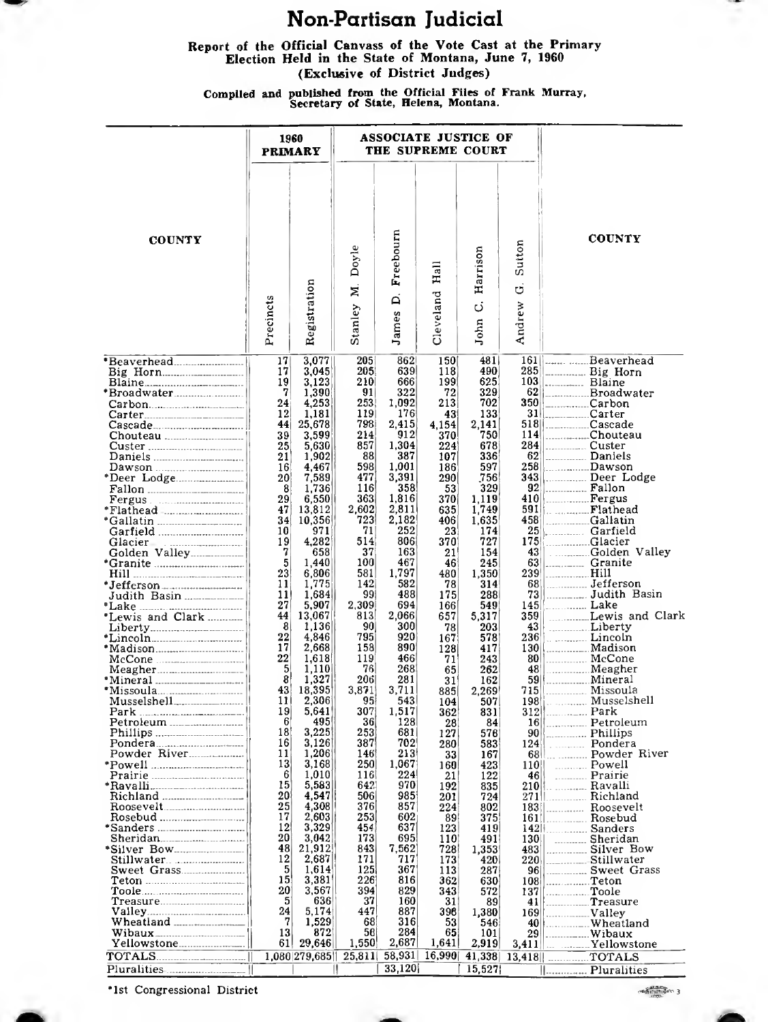### Non-Partisan Judicial

Report of the Official Canvass of the Vote Cast at the Primary Election Held in the State of Montana, June 7, 1960 (Exclusive of District Judges)

Compiled and published from the Official Files of Frank Murray,<br>Secretary of State, Helena, Montana.

|                                                                                      |              | 1960<br><b>PRIMARY</b>          |                        |                         |                                    | ASSOCIATE JUSTICE OF<br>THE SUPREME COURT |                       |                                     |
|--------------------------------------------------------------------------------------|--------------|---------------------------------|------------------------|-------------------------|------------------------------------|-------------------------------------------|-----------------------|-------------------------------------|
| <b>COUNTY</b>                                                                        | Precincts    | Registration                    | Doyle<br>Þ.<br>Stanley | Freebourn<br>Á<br>James | $_{\rm Hall}$<br>Cleveland         | Harrison<br>ن<br>John                     | Sutton<br>ಠ<br>Andrew | <b>COUNTY</b>                       |
|                                                                                      | 17           | 3,077                           | 205                    | 862                     | 150                                | 481                                       |                       | 161   Beaverhead                    |
| Big Horn                                                                             | 17           | 3,045                           | 205                    | 639                     | 118                                | 490                                       |                       | 285 L. Big Horn                     |
|                                                                                      | 19           | 3,123                           | 210                    | 666                     | 199                                | 625                                       |                       | $103$ . Blaine                      |
|                                                                                      | 7<br>24      | 1,390                           | 91<br>253              | 322<br>1,092            | 72                                 | 329<br>702                                |                       | 62 Broadwater                       |
|                                                                                      | 12           | 4,253<br>1,181                  | 119                    | 176                     | 213                                | 133                                       |                       | $350$ Carbon<br>31 Carter           |
|                                                                                      | 44           | 25,678                          | 798                    | 2,415                   | 43<br>4,154                        | 2,141                                     |                       |                                     |
|                                                                                      | 39           | 3,599                           | 214                    | 912                     | 370                                | 750                                       |                       |                                     |
|                                                                                      | 25           | 5,630                           | 857                    | 1,304                   | 224                                | 678                                       |                       |                                     |
|                                                                                      | 21           | 1,902                           | 88                     | 387                     | 107                                | 336                                       |                       | <sup>62</sup> Daniels<br>258 Dawson |
|                                                                                      | 16           | 4.467                           | 598                    | 1.001                   | 186                                | 597                                       |                       |                                     |
|                                                                                      | 20           | 7,589                           | 477                    | 3,391                   | 290                                | 756                                       |                       | 343   Deer Lodge                    |
|                                                                                      | 8<br>29      | 1,736                           | 116<br>363             | 358<br>1,816            | 53                                 | 329                                       |                       | 92 Fallon<br>410 Fergus             |
| Fergus                                                                               | 47           | 6,550<br>13,812                 | 2,602                  | 2,811                   | 370<br>635                         | 1,119<br>1,749                            |                       |                                     |
|                                                                                      | 34           |                                 |                        | 2,182                   | 406                                |                                           |                       | 591 Flathead<br>458 Gallatin        |
| *Gallatin<br>Garfield                                                                | 10           | 10,356                          | $\frac{723}{71}$       | 252                     | 23                                 | 1,635<br>174                              | 25                    | $\frac{1}{2}$ Garfield              |
|                                                                                      | 19           | 4,282                           | 514                    | 806                     | 370                                | 727                                       | 175                   | Glacier                             |
|                                                                                      | 7            | 658                             | 37                     | 163                     | 21                                 | 154                                       | 43                    | Golden Valley                       |
|                                                                                      | 5            | 1,440                           | 100                    | 467                     | 46                                 | 245                                       | 631                   |                                     |
|                                                                                      | 23<br>11     | 6,806                           | 581<br>142             | 1,797<br>582            | 480<br>78                          | 1,350<br>314                              | 239<br>681            | Hill<br>Jefferson                   |
| *Jefferson                                                                           | 11           | 1,775<br>1,684                  | 99                     | 488                     | 175                                | 288                                       | 73                    | Judith Basin                        |
|                                                                                      | 27           |                                 | 2,309                  | 694                     | 166                                | 549                                       | 145                   | <b>Lake</b> Lake                    |
|                                                                                      | 44           | 5,907<br>13,067                 | 813                    | 2,066                   | 657                                | 5,317                                     | 359                   | Lewis and Clark                     |
|                                                                                      | 8            | 1,136                           | 90                     | 300                     | 78                                 | 203                                       |                       |                                     |
|                                                                                      | 22           | 4,846                           | 795                    | 920                     | 167                                | 578                                       |                       | 236 Lincoln                         |
|                                                                                      | 17           | 2,668                           | 158                    | 890                     | 128                                | 417                                       |                       | 130   Madison                       |
| McCone<br>Meagher                                                                    | $^{22}$<br>5 | 1,618<br>1,110                  | 119<br>76              | 466<br>268              | 71                                 | 243<br>262                                | 80 <sup>2</sup><br>48 | McCone<br>Meagher                   |
|                                                                                      | 8            |                                 | 206                    | 281                     | 65<br>31                           | 162                                       | 59 <sup>1</sup>       | Mineral                             |
|                                                                                      | 43           |                                 | 3,871                  | 3,711                   | 885                                | 2.269                                     |                       |                                     |
|                                                                                      | 11           | $\frac{1,327}{18,395}$<br>2,306 | 95                     | 543                     | 104                                | 507                                       |                       | 198 Musselshell<br>312 Park         |
|                                                                                      | 19           | 5,641                           | 307                    | 1,517                   | 362                                | 831                                       |                       |                                     |
| Petroleum                                                                            | 6<br>18      | 495<br>3,225                    | 36                     | 128                     | 28                                 | 84                                        |                       | 16 Petroleum                        |
|                                                                                      | 16           | 3,126                           | 253<br>387             | 681<br>702              | $1\overline{2}\overline{7}$<br>280 | 576<br>583                                |                       | $90$ $\sim$ Phillips                |
| Powder River                                                                         | 11           | 1,206                           | 146                    | 213                     | 33                                 | 167                                       |                       | 124 Pondera<br>68 Powder River      |
|                                                                                      | 13           | 3,168                           | 250                    | 1,067                   | 160                                | 423                                       |                       |                                     |
|                                                                                      | 6            | 1,010                           | 116                    | 224                     | 21                                 | 122                                       |                       |                                     |
| *Ravalli                                                                             | 15           | 5,583                           | 642                    | 970                     | 192                                | 835                                       |                       |                                     |
| $\texttt{Roose}$ velt $\qquad \qquad$                                                | 20<br>25     | 4.547<br>4,308                  | 506<br>376             | 985<br>857              | 201<br>224                         | 724<br>802                                |                       |                                     |
|                                                                                      | 17           | 2,603                           | 253                    | 602                     | 89                                 | 375                                       |                       | 183 Roosevelt<br>161   Rosebud      |
|                                                                                      | 12           | 3,329                           | 454                    | 637                     | 123                                | 419                                       |                       | 142 Sanders                         |
| Sheridan                                                                             | 20           | 3,042                           | 173                    | 695                     | 110                                | 491                                       |                       |                                     |
|                                                                                      | 48           | 21,912                          | 843                    | 7,562                   | 728                                | 1.353                                     |                       |                                     |
| Stillwater.                                                                          | 12           | 2,687                           | 171                    | 717                     | 173                                | 420                                       |                       |                                     |
|                                                                                      | 5<br>15      | 1,614<br>3,381                  | 125<br>226             | 367<br>816              | 113<br>362                         | 287<br>630                                |                       | 96   Sweet Grass                    |
|                                                                                      | $^{20}$      | 3,567                           | 394                    | 829                     | 343                                | 572                                       |                       |                                     |
| $\textcolor{red}{\mathbf{Tr}}\textcolor{red}{\mathbf{e}}\textcolor{red}{\mathbf{s}}$ | 5            | 636                             | 37                     | 160                     | 31                                 | 89                                        |                       |                                     |
|                                                                                      | 24           | 5,174                           | 447                    | 887                     | 396                                | 1,380                                     |                       |                                     |
|                                                                                      | 7            | 1,529                           | 68                     | 316                     | 53                                 | 546                                       |                       |                                     |
|                                                                                      | 13           | 872                             | 56                     | 284                     | 65                                 | 101                                       |                       |                                     |
|                                                                                      | 61           | 29,646                          | 1,550                  | 2,687                   | 1,641                              | 2,919                                     |                       |                                     |
|                                                                                      |              | 1,080 279,685                   | 25,811                 | 58,931                  | 16,990                             | 41,338                                    |                       | 13,418    TOTALS                    |
|                                                                                      |              |                                 |                        | 33,120                  |                                    | 15,527                                    |                       | <u>II. mais Pluralities</u>         |

\*1st Congressional District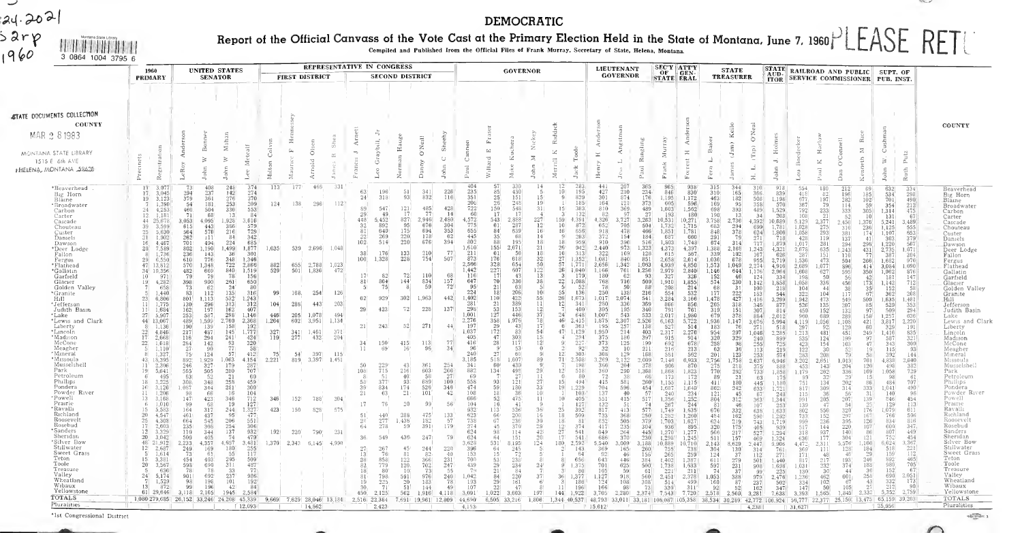#### DEMOCRATIC

#### Report of the Official Canvass of th<br><sub>Compiled an</sub> of the Vote Cast at<br>biled and Published Irom the Offic at the Primary Election Held in the State of Montana, June 7, 1960 LLASE RFT I Control Files of Frank Murray, Secretary of State, Helena, Montana.

|                                                                                                                                                                                                                                                                                                                                                                                                                                                                                                                                                                                                                                                                                      |                                                                                                                                                                                                                                                                                                                                                                                                                                                                                                                                                                                                                                                                                                                                                                                                                                  |                                                                                                                                                                                                                                                                                                                                                                                                                                                                                                                                                   |                                                                                                                                                                                                                                                                                                                                                                                                                                                                                                                                                                                                                                                                                                                         |                                                                                                                                                                                                                                                                                                                                                                                                                                                                                                                                                                                           |                                                                                                                                             |                                                                                                       |                                                                                                                                                                                                                                                                        |                                                                                                                                                                                                                       |                                                                                                                                                                                                                                                                                                |                                                                                                                                                                                                                                                                                                                                                                                                                                       |                                                                                                                                                                                                                                                                                                                                                                                                                                                                                                                                                                                                     |                                                                                                                                                                                                                                                                                                                                                                                                                                                                                                                                                                     | DEMOCRATIC                                                                                                                                                                                                                                                                                                                                                                                                                                                                 |                                                                                                                                                                                                                                                                                                                                                                                                                                                                                                                                                                                                                                                                                                                                                                                                                                                                                                                                             |                                                                                                                                                                                                                                                                                                                                                                                                                  |                                                                                                                                                                                                                                                                                                                                                                                                                                 |                                                                                                                                                                                                                                                                                                                                                                                                                                                                                                                                                                                                                                                                                                                                                                                                                                                                                                                                                                                                                                                         |                                                                                                                                                                                                                                                                                                                                                                                                                                                                                                              |                                                                                                                                                                                                                                                                                                                                                                                                                                                                                                                                                                |                                                                                                                                                                                                                                                                                                                                                                                                                                                                                                                                                     |                                                                                                                                                                                                                                                                                                                                                                                                                                                                                                           |                                                                                                                                                                                                                                                                                                                                                                                                                                                                                                                                                                                                                                                            |                                                                                                                                                                                                                                                                                                                                                                                                                                                                                                          |                                                                                                                                                                                                                                                                                                                                                                                                                                                                                                     |                                                                                                                                                                                                                                                                                                                                                                                                                                                                                                                                                                                                                                                                                                                                                                                                                                                                                                                                                                                                                                                                                                                                                                                     |                                                                                                                                                                                                                                                                                                                                                                                                                                       |                                                                                                                                                                                                                                                                                                                                                                                                                                                                                                                                 |                                                                                                                                                                                                                                                                                                                                                                                                                                                                                               |                                                                                                                                                                                                                                                                                                                                                                                                                                               |                                                                                                                                                                                                                                                                                                                                                                                                                                                                                                                                                                                                                                                                   |
|--------------------------------------------------------------------------------------------------------------------------------------------------------------------------------------------------------------------------------------------------------------------------------------------------------------------------------------------------------------------------------------------------------------------------------------------------------------------------------------------------------------------------------------------------------------------------------------------------------------------------------------------------------------------------------------|----------------------------------------------------------------------------------------------------------------------------------------------------------------------------------------------------------------------------------------------------------------------------------------------------------------------------------------------------------------------------------------------------------------------------------------------------------------------------------------------------------------------------------------------------------------------------------------------------------------------------------------------------------------------------------------------------------------------------------------------------------------------------------------------------------------------------------|---------------------------------------------------------------------------------------------------------------------------------------------------------------------------------------------------------------------------------------------------------------------------------------------------------------------------------------------------------------------------------------------------------------------------------------------------------------------------------------------------------------------------------------------------|-------------------------------------------------------------------------------------------------------------------------------------------------------------------------------------------------------------------------------------------------------------------------------------------------------------------------------------------------------------------------------------------------------------------------------------------------------------------------------------------------------------------------------------------------------------------------------------------------------------------------------------------------------------------------------------------------------------------------|-------------------------------------------------------------------------------------------------------------------------------------------------------------------------------------------------------------------------------------------------------------------------------------------------------------------------------------------------------------------------------------------------------------------------------------------------------------------------------------------------------------------------------------------------------------------------------------------|---------------------------------------------------------------------------------------------------------------------------------------------|-------------------------------------------------------------------------------------------------------|------------------------------------------------------------------------------------------------------------------------------------------------------------------------------------------------------------------------------------------------------------------------|-----------------------------------------------------------------------------------------------------------------------------------------------------------------------------------------------------------------------|------------------------------------------------------------------------------------------------------------------------------------------------------------------------------------------------------------------------------------------------------------------------------------------------|---------------------------------------------------------------------------------------------------------------------------------------------------------------------------------------------------------------------------------------------------------------------------------------------------------------------------------------------------------------------------------------------------------------------------------------|-----------------------------------------------------------------------------------------------------------------------------------------------------------------------------------------------------------------------------------------------------------------------------------------------------------------------------------------------------------------------------------------------------------------------------------------------------------------------------------------------------------------------------------------------------------------------------------------------------|---------------------------------------------------------------------------------------------------------------------------------------------------------------------------------------------------------------------------------------------------------------------------------------------------------------------------------------------------------------------------------------------------------------------------------------------------------------------------------------------------------------------------------------------------------------------|----------------------------------------------------------------------------------------------------------------------------------------------------------------------------------------------------------------------------------------------------------------------------------------------------------------------------------------------------------------------------------------------------------------------------------------------------------------------------|---------------------------------------------------------------------------------------------------------------------------------------------------------------------------------------------------------------------------------------------------------------------------------------------------------------------------------------------------------------------------------------------------------------------------------------------------------------------------------------------------------------------------------------------------------------------------------------------------------------------------------------------------------------------------------------------------------------------------------------------------------------------------------------------------------------------------------------------------------------------------------------------------------------------------------------------|------------------------------------------------------------------------------------------------------------------------------------------------------------------------------------------------------------------------------------------------------------------------------------------------------------------------------------------------------------------------------------------------------------------|---------------------------------------------------------------------------------------------------------------------------------------------------------------------------------------------------------------------------------------------------------------------------------------------------------------------------------------------------------------------------------------------------------------------------------|---------------------------------------------------------------------------------------------------------------------------------------------------------------------------------------------------------------------------------------------------------------------------------------------------------------------------------------------------------------------------------------------------------------------------------------------------------------------------------------------------------------------------------------------------------------------------------------------------------------------------------------------------------------------------------------------------------------------------------------------------------------------------------------------------------------------------------------------------------------------------------------------------------------------------------------------------------------------------------------------------------------------------------------------------------|--------------------------------------------------------------------------------------------------------------------------------------------------------------------------------------------------------------------------------------------------------------------------------------------------------------------------------------------------------------------------------------------------------------------------------------------------------------------------------------------------------------|----------------------------------------------------------------------------------------------------------------------------------------------------------------------------------------------------------------------------------------------------------------------------------------------------------------------------------------------------------------------------------------------------------------------------------------------------------------------------------------------------------------------------------------------------------------|-----------------------------------------------------------------------------------------------------------------------------------------------------------------------------------------------------------------------------------------------------------------------------------------------------------------------------------------------------------------------------------------------------------------------------------------------------------------------------------------------------------------------------------------------------|-----------------------------------------------------------------------------------------------------------------------------------------------------------------------------------------------------------------------------------------------------------------------------------------------------------------------------------------------------------------------------------------------------------------------------------------------------------------------------------------------------------|------------------------------------------------------------------------------------------------------------------------------------------------------------------------------------------------------------------------------------------------------------------------------------------------------------------------------------------------------------------------------------------------------------------------------------------------------------------------------------------------------------------------------------------------------------------------------------------------------------------------------------------------------------|----------------------------------------------------------------------------------------------------------------------------------------------------------------------------------------------------------------------------------------------------------------------------------------------------------------------------------------------------------------------------------------------------------------------------------------------------------------------------------------------------------|-----------------------------------------------------------------------------------------------------------------------------------------------------------------------------------------------------------------------------------------------------------------------------------------------------------------------------------------------------------------------------------------------------------------------------------------------------------------------------------------------------|-------------------------------------------------------------------------------------------------------------------------------------------------------------------------------------------------------------------------------------------------------------------------------------------------------------------------------------------------------------------------------------------------------------------------------------------------------------------------------------------------------------------------------------------------------------------------------------------------------------------------------------------------------------------------------------------------------------------------------------------------------------------------------------------------------------------------------------------------------------------------------------------------------------------------------------------------------------------------------------------------------------------------------------------------------------------------------------------------------------------------------------------------------------------------------------|---------------------------------------------------------------------------------------------------------------------------------------------------------------------------------------------------------------------------------------------------------------------------------------------------------------------------------------------------------------------------------------------------------------------------------------|---------------------------------------------------------------------------------------------------------------------------------------------------------------------------------------------------------------------------------------------------------------------------------------------------------------------------------------------------------------------------------------------------------------------------------------------------------------------------------------------------------------------------------|-----------------------------------------------------------------------------------------------------------------------------------------------------------------------------------------------------------------------------------------------------------------------------------------------------------------------------------------------------------------------------------------------------------------------------------------------------------------------------------------------|-----------------------------------------------------------------------------------------------------------------------------------------------------------------------------------------------------------------------------------------------------------------------------------------------------------------------------------------------------------------------------------------------------------------------------------------------|-------------------------------------------------------------------------------------------------------------------------------------------------------------------------------------------------------------------------------------------------------------------------------------------------------------------------------------------------------------------------------------------------------------------------------------------------------------------------------------------------------------------------------------------------------------------------------------------------------------------------------------------------------------------|
| 24.2021<br>Sarp<br>1960<br>Montana State Librar<br>机化材料相对装置<br>3 0864 1004 3795 6                                                                                                                                                                                                                                                                                                                                                                                                                                                                                                                                                                                                    |                                                                                                                                                                                                                                                                                                                                                                                                                                                                                                                                                                                                                                                                                                                                                                                                                                  |                                                                                                                                                                                                                                                                                                                                                                                                                                                                                                                                                   |                                                                                                                                                                                                                                                                                                                                                                                                                                                                                                                                                                                                                                                                                                                         |                                                                                                                                                                                                                                                                                                                                                                                                                                                                                                                                                                                           |                                                                                                                                             |                                                                                                       |                                                                                                                                                                                                                                                                        |                                                                                                                                                                                                                       |                                                                                                                                                                                                                                                                                                |                                                                                                                                                                                                                                                                                                                                                                                                                                       |                                                                                                                                                                                                                                                                                                                                                                                                                                                                                                                                                                                                     |                                                                                                                                                                                                                                                                                                                                                                                                                                                                                                                                                                     | Report of the Official Canvass of the Vote Cast at the Primary Election Held in the State of Montana, June 7, 1960 PLEASE RETURN<br>Compiled and Published Irom the Official Files of Frank Murray, Secretary of State, Helena, Montana.                                                                                                                                                                                                                                   |                                                                                                                                                                                                                                                                                                                                                                                                                                                                                                                                                                                                                                                                                                                                                                                                                                                                                                                                             |                                                                                                                                                                                                                                                                                                                                                                                                                  |                                                                                                                                                                                                                                                                                                                                                                                                                                 |                                                                                                                                                                                                                                                                                                                                                                                                                                                                                                                                                                                                                                                                                                                                                                                                                                                                                                                                                                                                                                                         |                                                                                                                                                                                                                                                                                                                                                                                                                                                                                                              |                                                                                                                                                                                                                                                                                                                                                                                                                                                                                                                                                                |                                                                                                                                                                                                                                                                                                                                                                                                                                                                                                                                                     |                                                                                                                                                                                                                                                                                                                                                                                                                                                                                                           |                                                                                                                                                                                                                                                                                                                                                                                                                                                                                                                                                                                                                                                            |                                                                                                                                                                                                                                                                                                                                                                                                                                                                                                          |                                                                                                                                                                                                                                                                                                                                                                                                                                                                                                     |                                                                                                                                                                                                                                                                                                                                                                                                                                                                                                                                                                                                                                                                                                                                                                                                                                                                                                                                                                                                                                                                                                                                                                                     |                                                                                                                                                                                                                                                                                                                                                                                                                                       |                                                                                                                                                                                                                                                                                                                                                                                                                                                                                                                                 |                                                                                                                                                                                                                                                                                                                                                                                                                                                                                               |                                                                                                                                                                                                                                                                                                                                                                                                                                               |                                                                                                                                                                                                                                                                                                                                                                                                                                                                                                                                                                                                                                                                   |
|                                                                                                                                                                                                                                                                                                                                                                                                                                                                                                                                                                                                                                                                                      | 1960<br><b>PRIMARY</b>                                                                                                                                                                                                                                                                                                                                                                                                                                                                                                                                                                                                                                                                                                                                                                                                           |                                                                                                                                                                                                                                                                                                                                                                                                                                                                                                                                                   | <b>UNITED STATES</b><br><b>SENATOR</b>                                                                                                                                                                                                                                                                                                                                                                                                                                                                                                                                                                                                                                                                                  |                                                                                                                                                                                                                                                                                                                                                                                                                                                                                                                                                                                           |                                                                                                                                             | FIRST DISTRICT                                                                                        | REPRESENTATIVE IN CONGRESS                                                                                                                                                                                                                                             |                                                                                                                                                                                                                       |                                                                                                                                                                                                                                                                                                | <b>SECOND DISTRICT</b>                                                                                                                                                                                                                                                                                                                                                                                                                |                                                                                                                                                                                                                                                                                                                                                                                                                                                                                                                                                                                                     |                                                                                                                                                                                                                                                                                                                                                                                                                                                                                                                                                                     |                                                                                                                                                                                                                                                                                                                                                                                                                                                                            | <b>GOVERNOR</b>                                                                                                                                                                                                                                                                                                                                                                                                                                                                                                                                                                                                                                                                                                                                                                                                                                                                                                                             |                                                                                                                                                                                                                                                                                                                                                                                                                  |                                                                                                                                                                                                                                                                                                                                                                                                                                 | <b>LIEUTENANT</b><br><b>GOVERNDR</b>                                                                                                                                                                                                                                                                                                                                                                                                                                                                                                                                                                                                                                                                                                                                                                                                                                                                                                                                                                                                                    |                                                                                                                                                                                                                                                                                                                                                                                                                                                                                                              | <b>SEC'Y ATT'Y</b><br>$OF$ GEN-<br><b>STATE ERAL</b>                                                                                                                                                                                                                                                                                                                                                                                                                                                                                                           |                                                                                                                                                                                                                                                                                                                                                                                                                                                                                                                                                     |                                                                                                                                                                                                                                                                                                                                                                                                                                                                                                           | <b>STATE</b><br><b>TREASURER</b>                                                                                                                                                                                                                                                                                                                                                                                                                                                                                                                                                                                                                           |                                                                                                                                                                                                                                                                                                                                                                                                                                                                                                          |                                                                                                                                                                                                                                                                                                                                                                                                                                                                                                     | STATE RAILROAD AND PUBLIC SUPT. OF<br>AUD. <b>RAILROAD AND PUBLIC</b> SUPT. OF TTOR SERVICE COMMISSIONER PUB. INST.                                                                                                                                                                                                                                                                                                                                                                                                                                                                                                                                                                                                                                                                                                                                                                                                                                                                                                                                                                                                                                                                 |                                                                                                                                                                                                                                                                                                                                                                                                                                       |                                                                                                                                                                                                                                                                                                                                                                                                                                                                                                                                 |                                                                                                                                                                                                                                                                                                                                                                                                                                                                                               |                                                                                                                                                                                                                                                                                                                                                                                                                                               |                                                                                                                                                                                                                                                                                                                                                                                                                                                                                                                                                                                                                                                                   |
| <b>STATE DOCUMENTS COLLECTION</b><br>COUNTY<br>MAR 2 8 1983<br>MONTANA STATE LIBRARY<br>1515 E 6th AVE<br><b>FHELENA, MONTANA 52628</b>                                                                                                                                                                                                                                                                                                                                                                                                                                                                                                                                              | eastrat<br>ž                                                                                                                                                                                                                                                                                                                                                                                                                                                                                                                                                                                                                                                                                                                                                                                                                     | ⋖<br>$\geq$<br>LeRoy                                                                                                                                                                                                                                                                                                                                                                                                                                                                                                                              | $\approx$                                                                                                                                                                                                                                                                                                                                                                                                                                                                                                                                                                                                                                                                                                               |                                                                                                                                                                                                                                                                                                                                                                                                                                                                                                                                                                                           | E<br>$\leq$<br>$\frac{1}{2}$                                                                                                                |                                                                                                       | $\simeq$                                                                                                                                                                                                                                                               | ā                                                                                                                                                                                                                     | 문<br>ž                                                                                                                                                                                                                                                                                         | $\tilde{a}$<br>Š<br>ŏ                                                                                                                                                                                                                                                                                                                                                                                                                 | ÷<br>$\cup$                                                                                                                                                                                                                                                                                                                                                                                                                                                                                                                                                                                         | Cannon<br>$_{\rm Paul}$                                                                                                                                                                                                                                                                                                                                                                                                                                                                                                                                             | Ĺ.<br>$\mathbb{Z}^n$<br>$\overline{\mathbb{C}}$<br>迳<br>killa                                                                                                                                                                                                                                                                                                                                                                                                              | Nicke<br>$\gtrsim$<br>$\equiv$                                                                                                                                                                                                                                                                                                                                                                                                                                                                                                                                                                                                                                                                                                                                                                                                                                                                                                              | $\propto$<br>$\mathcal{L}$<br>$\Xi$<br>۳<br>$\mathcal{L}$<br>×                                                                                                                                                                                                                                                                                                                                                   | $\Xi$<br>ž                                                                                                                                                                                                                                                                                                                                                                                                                      | ď,<br>L.                                                                                                                                                                                                                                                                                                                                                                                                                                                                                                                                                                                                                                                                                                                                                                                                                                                                                                                                                                                                                                                | 료                                                                                                                                                                                                                                                                                                                                                                                                                                                                                                            | Σ                                                                                                                                                                                                                                                                                                                                                                                                                                                                                                                                                              | H.                                                                                                                                                                                                                                                                                                                                                                                                                                                                                                                                                  |                                                                                                                                                                                                                                                                                                                                                                                                                                                                                                           | Kell<br>Jım)                                                                                                                                                                                                                                                                                                                                                                                                                                                                                                                                                                                                                                               | Ŏ,O<br>$\widehat{a}$<br>Ē                                                                                                                                                                                                                                                                                                                                                                                                                                                                                | H <sub>0</sub><br>тj<br>å<br>$\epsilon$                                                                                                                                                                                                                                                                                                                                                                                                                                                             | $\mathcal{L}$                                                                                                                                                                                                                                                                                                                                                                                                                                                                                                                                                                                                                                                                                                                                                                                                                                                                                                                                                                                                                                                                                                                                                                       |                                                                                                                                                                                                                                                                                                                                                                                                                                       | œ<br>$\Xi$<br>ieth                                                                                                                                                                                                                                                                                                                                                                                                                                                                                                              | Cushm<br>$\geq$<br>$\Box$<br>Joh                                                                                                                                                                                                                                                                                                                                                                                                                                                              | Ē,<br>$\sin$<br>Ĕ                                                                                                                                                                                                                                                                                                                                                                                                                             | COUNTY                                                                                                                                                                                                                                                                                                                                                                                                                                                                                                                                                                                                                                                            |
| 'Beaverhead<br>Big Horn<br>Blaine<br>*Broadwater<br>Carbon<br>Carter<br>Cascade<br>Chouteau<br>Custer<br>Daniels<br>Dawson<br>*Deer Lodge<br>Fallon<br>Fergus<br>*Flathead<br>*Gallatın<br>Garfield<br>Glacier<br>Golden Valley<br>*Granite<br>Hıll<br>*Jefferson<br>Judith Basin<br>*Lake<br>*Lewis and Clark<br>Liberty<br>*Lincoln<br>*Madison<br>McCone<br>Meagher<br>*Mineral<br>*Missoula<br>Musselshell<br>Park<br>Petroleum<br>Phillips<br>Pondera<br>Powder River<br>*Powell<br>Prairie<br>* Ravallı<br>Richland<br>Roosevelt<br>Rosebud<br>*Sanders<br>Sheridan<br>'Silver Bow<br>Stillwater<br>Sweet Grass<br>Teton<br>Toole<br>Treasure<br>Valley<br>Wheatland<br>Wibaux | 3.077<br>17<br>3,045<br>17<br>3,123<br>19 <sup>°</sup><br>1.390<br>24<br>$\frac{4,253}{1,181}$<br>12.<br>25,678<br>44<br>39<br>3.599<br>5.630<br>25<br>$21 -$<br>1,902<br>4.467<br>20 <sup>1</sup><br>7.589<br>1,736<br>29<br>6,550<br>47<br>13,812<br>34 10,356<br>971<br>4,282<br>19<br>-658<br>1,440<br>23<br>6,806'<br>$\frac{1.775}{1.684}$<br>$\frac{11}{11}$<br>27<br>5,907<br>44 13,067<br>1.136<br>$\frac{22}{17}$<br>4.846<br>2.668<br>1,618<br>22<br>1.110'<br>.327<br>18,395<br>431<br>2,306<br>$^{11}$<br>19<br>5,641<br>495<br>18<br>3,225<br>3,126<br>1,206<br>11<br>3,168<br>13<br>1,010<br>15<br>5,583<br>4,547<br>20<br>4.308<br>2,603<br>17<br>12<br>3.329<br>3.042<br>20.<br>48 21,912<br>12<br>2.687<br>1614<br>15.<br>3,381<br>$20^{\circ}$<br>3,567<br>636<br>$24^{\circ}$<br>5,174<br>1.529<br>872<br>13 | 73<br>$\frac{294}{379}$<br>54<br>460<br>-71<br>3.053<br>615<br>564<br>262<br>701<br>$\frac{802}{236}$<br>610<br>570<br>1.348<br>$\frac{482}{79}$<br>398<br>$\begin{array}{c} 73 \\ 83 \end{array}$<br>801<br>1,113<br>$\begin{array}{c} 130 \\ 162 \end{array}$<br>253<br>$\frac{489}{190}$<br>217<br>116<br>284<br>75<br>$\frac{124}{1,929}$<br>892<br>$\frac{246}{565}$<br>63<br>308<br>1,087<br>98<br>147<br>99<br>164<br>461<br>664<br>235<br>$\frac{110}{509}$<br>2,233.<br>4,357<br>$\frac{249}{73}$<br>454<br>598<br>78<br>901<br>98<br>99 | 408<br>248<br>237<br>142<br>361<br>276<br>253<br>181<br>330<br>504<br>68<br>1,928<br>4.095<br>386<br>443<br>216<br>570<br>$\perp$ 11<br>494<br>224<br>1.190<br>1.499<br>143<br>348<br>776<br>$\frac{722}{840}$<br>669<br>79<br>261<br>900<br>$\frac{24}{135}$<br>62<br>112<br>532<br>313<br>$\frac{296}{197}$<br>162<br>587<br>298<br>2,760<br>1,599<br>158<br>139<br>145<br>487<br>241<br>294<br>142<br>-90<br>1.063<br>179<br>$\frac{327}{505}$<br>280<br>52<br>21<br>258<br>348<br>281<br>344<br>66<br>346<br>423<br>68<br>317<br>2.44<br>437<br>206<br>545<br>308<br>$\frac{254}{137}$<br>$\frac{344}{405}$<br>4.657<br>180<br>169<br>61.<br>$295 -$<br>403.<br>690<br>311<br>78<br>237<br>692<br>198<br>101<br>196 | 374<br>274<br>370<br>209<br>553<br>84<br>13<br>3,616<br>579<br>729<br>342<br>84<br>685<br>1.877<br>301<br>-36<br>1,346<br>2,866<br>1,519<br>78<br>156<br>650<br>-80<br>316<br>1,243<br>312<br>407<br>1,146<br>2,368<br>192<br>1,777<br>424'<br>320<br>$\substack{93 \\ 77}$<br>58 <sup>′</sup><br>57<br>412<br>4.154<br>$\frac{287}{707}$<br>60<br>459<br>$300^\circ$<br>16<br>104<br>$\begin{array}{c} 712 \\ 127 \end{array}$<br>19<br>1,327<br>95<br>477<br>551<br>306<br>932<br>479<br>74<br>3,481<br>255<br>55<br>117<br>509<br>487<br>77<br>33<br>986<br>$192^{\circ}$<br>84'<br>42 | 113'<br>124<br>1.035<br>882<br>529<br>-99<br>104<br>446<br>1,264<br>$\frac{327}{119}$<br>75<br>2,221<br>346<br>423<br>192!<br>$1,370$ 2.343 | 138<br>655<br>501<br>168.<br>288<br>205<br>602<br>$\frac{341}{277}$<br>54<br>819<br>152<br>150<br>220 | 46F<br>331<br>112<br>296<br>539 2.696 1.048<br>2,788<br>1,023<br>472<br>1,836<br>254<br>126<br>203<br>443<br>1.078<br>494<br>3,951<br>1,134<br>1,461<br>371<br>432<br>204<br>397<br>115<br>3,397<br>1,451<br>788<br>304.<br>828<br>575<br>790<br>231<br>6.145<br>4.990 | 63<br>24<br>89<br>29<br>448<br>32<br>81<br>22<br>102<br>38<br>100<br>171<br>81 <sup>1</sup><br>-51<br>62<br>29<br>21<br>34<br>11<br>50<br>108<br>58<br>39<br>21<br>17<br>51<br>28<br>64<br>28<br>82<br>18<br>81<br>19 | 196<br>318<br>547<br>49.<br>5.452<br>$RQ^*$<br>640<br>269<br>514<br>176<br>1,328<br>82<br>864<br>75<br>929<br>423<br>243<br>150 <sup>7</sup><br>-69<br>$^{229}_{715}$<br>377<br>834<br>63<br>76<br>$\frac{440}{277}$<br>278<br>549<br>267<br>76.<br>858<br>779<br>R <sub>0</sub><br>798<br>225 | $\frac{51}{93}$<br>$\begin{smallmatrix} 1&2&1\\&1&7 \end{smallmatrix}$<br>827<br>2,946<br>95<br>175<br>$\begin{array}{c} 220 \\ 220 \end{array}$<br>133<br>228<br>72<br>144'<br> 8 <br>302<br>1,963<br>72<br>228<br>271<br>52<br>415<br>16'<br>43<br>216<br>40 <sup>1</sup><br>93<br>174<br>21<br>$20\,$<br>288<br>1,438<br>59<br>436<br>45<br>81<br>$\begin{array}{c} 122 \\ 120 \\ 10 \end{array}$<br>591<br>$\frac{20}{51}$<br>144 | 341<br>226<br>832<br>116<br>$\frac{485}{77}$<br>428<br>14<br>2.480<br>676<br>304<br>694<br>$\frac{353}{62}$<br>178<br>676<br>394<br>77<br>$\frac{210}{754}$<br>507<br>110<br>68<br>$\frac{157}{72}$<br>834<br>59<br>442<br>137<br>44.<br>77<br>$\frac{113}{96}$<br>34<br>361<br>$\frac{254}{266}$<br>603<br>58<br>27<br>100<br>$\begin{array}{c} 689 \\ 526 \\ 101 \end{array}$<br>346<br>42<br>99<br>56<br>$\frac{475}{182}$<br>$\frac{391}{1}$<br>$\frac{133}{57}$<br>179<br>247<br>79<br>244<br>$\frac{220}{40}$<br>82<br>366<br>231<br>702<br>247<br>-73<br>55<br>976<br>240<br>183<br>78<br>49 | 404<br>235<br>351<br>$\begin{array}{r} 206 \\ 722 \\ 60 \\ 4,572 \\ 775 \end{array}$<br>655<br>445<br>802<br>1,610<br>$\begin{array}{c} 211 \\ 873 \end{array}$<br>2,566<br>1,442<br>116<br>647<br>95<br>224<br>1,402<br>281<br>298<br>1,001<br>2,276<br>197<br>1,037<br>405<br>416<br>$\frac{96}{240}$<br>3.185<br>$\begin{array}{c} 341 \\ 882 \end{array}$<br>69<br>$\frac{558}{474}$<br>108<br>666<br>104<br>932<br>$\frac{623}{738}$<br>$\frac{738}{274}$<br>624<br>624<br>3,628<br>$\frac{396}{153}$<br>700<br>$\frac{439}{79}$<br>1,042<br>$\frac{193}{107}$ | -57<br>85<br>$\frac{25}{26}$<br>150<br>17<br>543<br>61<br>84<br>35<br>88<br>155 <sup>1</sup><br>61<br>176<br>$\begin{array}{r} 328 \\ 227 \\ 17 \\ 70 \end{array}$<br>21<br>18<br>110(<br>21<br>53<br>127<br>358<br>29<br>172<br>47<br>28<br>$\mathbf{Q}^{\mathsf{T}}$<br>27<br>518<br>60 <sup>1</sup><br>134<br>93<br>59<br>18<br>$52\,$<br>16<br>113<br>$\substack{66 \\ 67}$<br>$45 -$<br>$\frac{98}{64}$<br>531<br>$\frac{64}{15}$<br>53<br>29<br>21<br>84<br>29<br>22 | 330<br>14<br>430<br>151<br>15<br>248<br>19<br>548<br>31<br>17<br>$\begin{array}{r} 227 \\[-4pt] 12 \\[-4pt] 16 \end{array}$<br>2,888<br>287<br>639<br>68<br>14<br>195<br>18<br>21<br>2.671<br>18<br>56<br>$\frac{32}{12}$<br>$\frac{50}{13}$<br>618<br>654<br>607<br>43<br>336<br>38<br>63<br>206<br>10 <sup>1</sup><br>55<br>422<br>389<br>$\frac{11}{12}$<br>153<br>446<br>37<br>1.976<br>$\begin{bmatrix} 78 \\ 17 \\ 54 \end{bmatrix}$<br>43<br>83<br>303<br>$\begin{smallmatrix}1\,5\\1\,2\end{smallmatrix}$<br>117'<br>53<br>-0<br>60<br>-9<br>1.607<br>89<br>430<br>- 9<br>29<br>498<br>27<br>$\begin{array}{c} 11 \\ 27 \\ 33 \end{array}$<br>121<br>180<br>36<br>10 <sup>1</sup><br>475<br>11<br>$-41$<br>5261<br>36<br>200<br>$\frac{16}{30}$<br>236<br>370<br>29<br>$\frac{42}{20}$<br>$\frac{114}{151}$<br>124<br>8,195<br>$\frac{245}{72}$<br>2381<br>234'<br>$\frac{24}{7}$<br>84<br>$220^{\circ}$<br>37<br>161<br>- 6'<br>47 | 10<br>$\overline{9}$<br>15 <sup>1</sup><br>159<br>10<br>16<br>-9<br>18 <sup>1</sup><br>$26^{\circ}$<br>$\frac{16}{27}$<br>57<br>26<br>3<br>22<br>55<br>26<br>$\frac{12}{7}$<br>$24^{\circ}$<br>$46^{\circ}$<br>$47 - 1,129$<br>-9<br>12'<br>71<br>$\frac{7}{12}$<br>$\Omega$<br>15 <sup>1</sup><br>19<br>$10^{\circ}$<br>25<br>18<br>18<br>$\begin{smallmatrix} 12\\27\\17 \end{smallmatrix}$<br>180<br>36<br>11 | 283<br>195<br>829<br>185<br>383<br>132<br>4,391<br>872<br>656<br>203<br>959<br>942<br>313<br>$\frac{1,352}{1,771}$<br>1,040<br>179<br>1,088<br>52<br>136<br>1,673<br>341<br>400<br>648<br>2,415<br>363<br>294<br>$\frac{227}{92}$<br>303<br>2,508<br>198<br>518<br>80<br>494<br>.229<br>103<br>405<br>127<br>392<br>509.<br>81<br>374<br>$\frac{541}{541}$<br>2,592<br>143<br>-64<br>656<br>1.375<br>-80<br>1,377<br>186<br>196 | 441<br>207<br>210<br>427<br>301<br>874<br>164<br>$\frac{121}{369}$<br>810<br>82<br>97<br>$^{4,326}_{652}$<br>$3,727$<br>$705$<br>$\frac{918}{372}$<br>478<br>154<br>910<br>396<br>973<br>2,440<br>$\frac{322}{1,081}$<br>169<br>840<br>2,656<br>1,342<br>1,166<br>$\frac{761}{62}$<br>180<br>$^{768}_{78}$<br>716<br>50<br>250<br>138<br>1,017<br>2.074<br>336<br>$\frac{280}{305}$<br>195<br>1,007<br>543<br>1,875<br>2,307<br>$\frac{257}{214}$<br>195<br>1,950<br>375<br>186<br>$\begin{array}{r} 373 \\ 32 \\ 308 \end{array}$<br>125<br>10<br>$\begin{array}{c} 1\bar{2}9 \\ 2,122 \\ 204 \end{array}$<br>3,269<br>366<br>$\frac{360}{72}$<br>290<br>38<br>581<br>415<br>704<br>$\frac{596}{40}$<br>137<br>$\begin{array}{c} 551 \\ 132 \\ 817 \end{array}$<br>415'<br>51<br>$-413$<br>$\frac{733}{852}$<br>$417$<br>$\frac{368}{505}$<br>235<br>$\frac{264}{370}$<br>$\frac{649}{686}$<br>5,540<br>3.009<br>$\frac{369}{92}$<br>165<br>46 <sup>1</sup><br>643<br>446<br>$\frac{701}{105}$<br>625<br>59<br>1,127<br>918<br>124<br>108<br>166<br>98 | 365<br>234<br>176.<br>373<br>489<br>27<br>$3,263$<br>$504$<br>466<br>184<br>516<br>1,323<br>$\begin{array}{c} 128 \\ 851 \end{array}$<br>1,063<br>1,256<br>93<br>509<br>88 <sup>′</sup><br>216<br>541<br>369<br>340<br>533<br>$\begin{array}{c} 2.526 \\ 138 \end{array}$<br>403<br>397<br>199<br>211<br>168<br>2,009<br>378<br>1,368<br>66<br>260<br>454<br>57<br>$\frac{517}{74}$<br>577<br>$\frac{250}{379}$<br>304'<br>$\frac{445}{230}$<br>3,188<br>260<br>156<br>384<br>500<br>61<br>560<br>308'<br>73 | 965<br>846<br>1.195<br>605<br>1,603'<br>193<br>10,531<br>1,732<br>1,851<br>687<br>1,803<br>4,373<br>$615$<br>$2,658$<br>4,939<br>2.979<br>327<br>1,910<br>208<br>554<br>3,284<br>$\frac{866}{791}$<br>2,017<br>$\begin{array}{r} 6,163 \\ 527 \\ 2,317 \end{array}$<br>$\begin{matrix} 915 \\ 692 \end{matrix}$<br>216<br>7,146<br>906<br>1,868<br>173<br>1,155<br>$\frac{1,687}{240}$<br>1,356<br>$\frac{267}{1,749}$<br>$\frac{1,282}{1,703}$<br>936<br>1,270<br>1,298<br>10.889<br>$\frac{755}{265}$<br>1.402<br>$\frac{1,738}{221}$<br>2,451<br>514<br>330 | 938<br>830<br>1,172<br>$\frac{596}{1,562}$<br>180<br>$\frac{10,271}{1,715}$<br>1.781<br>660<br>1,748<br>4.397<br>567<br>2,614<br>4,850<br>2,840<br>326<br>1,855<br>214<br>532<br>3.166<br>$\frac{856}{761}$<br>1,980<br>$5,722$<br>$514$<br>2,276<br>$\frac{914}{678}$<br>213<br>562<br>6,933<br>870<br>$\begin{array}{c} 1.823 \\ 172 \end{array}$<br>1,115<br>1,640<br>$\frac{234}{1,252}$<br>$\frac{1}{244}$<br>1.635<br>1,260<br>1,627<br>$\frac{895}{1.277}$<br>1,245<br>10.710<br>738<br>259<br>1.387<br>1,633<br>211<br>2,378<br>499<br>311' | 315<br>310<br>463<br>169<br>698<br>190<br>3,758<br>683<br>848<br>$\frac{291}{674}$<br>1.388<br>$\frac{339}{1,036}$<br>1,573<br>1,146<br>$\frac{152}{574}$<br>68<br>177<br>1,478<br>265<br>319<br>679<br>1,936<br>183<br>954<br>$\begin{array}{r} 320 \\ 258 \\ 63 \end{array}$<br>$\begin{smallmatrix} 201\ 2,756\ 275\ 770 \end{smallmatrix}$<br>89<br>411<br>$\frac{862}{121}$<br>804<br>81'<br>676<br>484<br>624<br>320<br>566<br>511<br>2,143<br>304<br>124<br>611<br>597<br>74<br>1,053<br>160<br>92 | 344<br>165<br>$\frac{182}{95}$<br>393<br>-13<br>2,736<br>$\begin{array}{r} 294 \\ 378 \\ 79 \end{array}$<br>314'<br>$\begin{array}{r} 2,168 \\ 102 \\ 678 \end{array}$<br>1.049<br>644<br>46<br>230<br>$\frac{31}{222}$<br>427<br>$\begin{array}{r} 318 \\ 151 \\ 378 \end{array}$<br>$\frac{1,147}{76}$<br>297<br>$\begin{array}{r} 329 \\ 329 \\ 98 \\ 36 \\ 123 \\ 1,758 \end{array}$<br>$\begin{smallmatrix} 218\\292\\21 \end{smallmatrix}$<br>180<br>$\frac{242}{45}$<br>312<br>$\frac{46}{332}$<br>162<br>$\frac{219}{175}$<br>$\begin{array}{r} 217 \\ 157 \\ 8,629 \\ 130 \\ 37 \end{array}$<br>279<br>$\frac{231}{37}$<br>388<br>$\frac{87}{52}$ | 310<br>366<br>506<br>358<br>489<br>34<br>4.392<br>$699$<br>$624$<br>271<br>$\frac{7}{1,243}$<br>167<br>955<br>2,274<br>1,176<br>124<br>1,142<br>100<br>183<br>1,416<br>$\frac{346}{307}$<br>884<br>3,676<br>271<br>1,046<br>$\frac{240}{255}$<br>$\frac{113}{253}$<br>2,637<br>$\frac{375}{733}$<br>63<br>445'<br>$633 \over 67$<br>$363^{\circ}$<br>$\frac{107}{638}$<br>590<br>$\frac{743}{405}$<br>527<br>469<br>2,447<br>314<br>$\frac{112}{501}$<br>908<br>99 <sup>1</sup><br>979<br>$^{237}_{162}$ | 918<br>839<br>1,198<br>570<br>1,529<br>203<br>10.689<br>1,781<br>1,806<br>718<br>$\frac{1,879}{4,321}$<br>626<br>2,719<br>4,916<br>2,964<br>334<br>1,858<br>218<br>544<br>3,299<br>877<br>814<br>2,012<br>5,994<br>518<br>2.285<br>899<br>$\frac{725}{219}$<br>574<br>6,946<br>888<br>1,858<br>$\frac{175}{1.180}$<br>1,721<br>248'<br>1.344<br>253<br>1,633<br>1,292<br>$\frac{1,719}{939}$<br>1,294<br>$\frac{1,324}{9,906}$<br>761<br>271<br>1.440<br>1,698<br>225<br>2.476<br>$\frac{502}{347}$ | 554<br>180<br>$\frac{418}{677}$<br>$\frac{367}{367}$<br>$\begin{smallmatrix} 82\\197\\79 \end{smallmatrix}$<br>$^{792}_{108}$<br>233<br>21<br>$\frac{5.129}{1.028}$<br>$\frac{1}{1,058}$<br>2,377<br>275<br>293<br>428<br>119<br>$\frac{281}{635}$<br>$\frac{1,017}{2,678}$<br>287<br>151<br>$\frac{1,536}{2,689}$<br>$\frac{473}{1,077}$<br>1,608<br>627<br>198<br>50<br>1,058<br>336<br>104<br>44<br>$322$<br>1,942<br>104<br>473<br>$\frac{526}{450}$<br>$\begin{array}{r} 135 \\ 152 \\ 689 \end{array}$<br>960<br>1,056<br>4,119<br>$\begin{array}{r} 297 \\ 1.213 \\ 535 \end{array}$<br>92<br>481<br>$\frac{124}{154}$<br>$\begin{array}{r} 423 \\ 122 \\ 283 \\ 3,202 \\ 453 \end{array}$<br>30<br>$\frac{208}{2,651}$<br>143<br>$\frac{262}{32}$<br>1.179<br>99<br>751<br>$\begin{array}{r} 1\,3\,4 \\ 3\,0\,9 \\ 3\,6 \\ 2\,0\,5 \end{array}$<br>817<br>115<br>991<br>$\frac{139}{802}$<br>-47<br>$\frac{556}{152}$<br>$\frac{152}{236}$<br>733<br>$\frac{999}{517}$<br>318<br>$\frac{144}{937}$<br>177<br>636<br>4,472<br>2,311<br>369<br>111<br>171<br>$-48$<br>817<br>217<br>$\frac{232}{30}$<br>1,031<br>130<br>1.236<br>462<br>$\frac{102}{50}$<br>$\frac{334}{147}$ | $\frac{196}{282}$<br>114<br>333<br>$\frac{52}{2,450}$<br>316<br>381<br>137<br>294<br>1.243<br>110<br>504<br>896<br>595<br>$\frac{56}{456}$<br>38<br>117<br>549<br>207<br>$\frac{132}{289}$<br>1,108<br>$\frac{129}{451}$<br>199<br>103<br>79<br>1,013<br>204'<br>336<br>29<br>202<br>$\frac{314}{56}$<br>207<br>54<br>320<br>297<br>395<br>220<br>140<br>304'<br>5.576<br>128<br>-46<br>193<br>374'<br>-44<br>601 <sub>1</sub><br>105 | 69<br>185<br>$\frac{102}{59}$<br>305<br>10<br>1,376<br>236<br>174<br>41<br>298<br>$\frac{431}{77}$<br>266<br>414<br>350<br>$\begin{array}{c} 42 \\ 173 \end{array}$<br>$\begin{array}{c} 35 \\ 67 \\ 509 \end{array}$<br>$\frac{85}{97}$<br>$\frac{158}{421}$<br>$\frac{60}{249}$<br>$\frac{97}{47}$<br>19<br>$^{58}_{761}$<br>120<br>169<br>15<br>86<br>$\frac{333}{31}$<br>139<br>$\frac{25}{176}$<br>$\substack{167 \\ 126 \\ 107}$<br>$\frac{86}{121}$<br>1.166'<br>$\frac{184}{29}$<br>246<br>188<br>36<br>258<br>43<br>27 | 632<br>534<br>701<br>354<br>1,314<br>131<br>5.241<br>$\frac{1,125}{1,107}$<br>303<br>$\frac{1,220}{2,735}$<br>387<br>1,682<br>3,084<br>1,962<br>181<br>1,142<br>152<br>362<br>1,635<br>$\begin{array}{c} 529 \\ 509 \end{array}$<br>1.257<br>3,817<br>329<br>1,416<br>587<br>343<br>115<br>392<br>4,838<br>498<br>1.058<br>98<br>484<br>1.041<br>140<br>846<br>129<br>1.079<br>766<br>834<br>600<br>807<br>752<br>6,624<br>518<br>159<br>$\frac{892}{980}$<br>152<br>$\frac{690}{332}$<br>212 | 334<br>298<br>490<br>$\frac{212}{475}$<br>67<br>3.489'<br>$\frac{555}{653}$<br>379<br>$\frac{567}{1,071}$<br>204<br>976<br>1.690<br>876<br>147<br>712<br>58<br>208<br>1,481<br>$\frac{353}{294}$<br>636<br>2,220<br>191<br>835<br>$\frac{321}{309}$<br>93<br>144<br>2,040<br>382<br>729<br>61<br>707<br>490<br>$Q_1$<br>454<br>611<br>506<br>816<br>347<br>449<br>454<br>3,367<br>221<br>$\frac{112}{465}$<br>705<br>67<br>2.051<br>173<br>90 | Beaverhead<br>Big Horn<br>Blaine<br>Broadwater<br>Carbon<br>Carter<br>Cascade<br>Chouteau<br>Custer<br>Daniels<br>Dawson<br>Deer Lodge<br>Fallon<br>Fergus<br>Flathead<br>Gallatin<br>Garfield<br>Glacier<br>Golden Valley<br>Granite<br>.Hıll<br>Jefferson<br>Judith Basin<br>Lake<br>Lewis and Clark<br>Liberty<br>Lincoln<br>Madison<br>McCone<br>Meagher<br>Mineral<br>Missoula<br>Musselshel<br>Park<br>Petroleum<br>Phillips<br>Pondera<br>Powder River<br>Powell<br>Prairie<br>Ravallı<br>Richland<br>Roosevel<br>Rosebud<br>Sanders<br>Sheridan<br>Silver Bow<br>Stillwater<br>Sweet Grass<br>Teton<br>Toole<br>Treasure<br>Valley<br>Wheatland<br>Wihaux |

\*1st Congressional District

 $\overline{\phantom{a}}$ 

 $m_{\rm H200}^{\rm 1000}$   $\lesssim$  3

 $\bigcap$ 

the most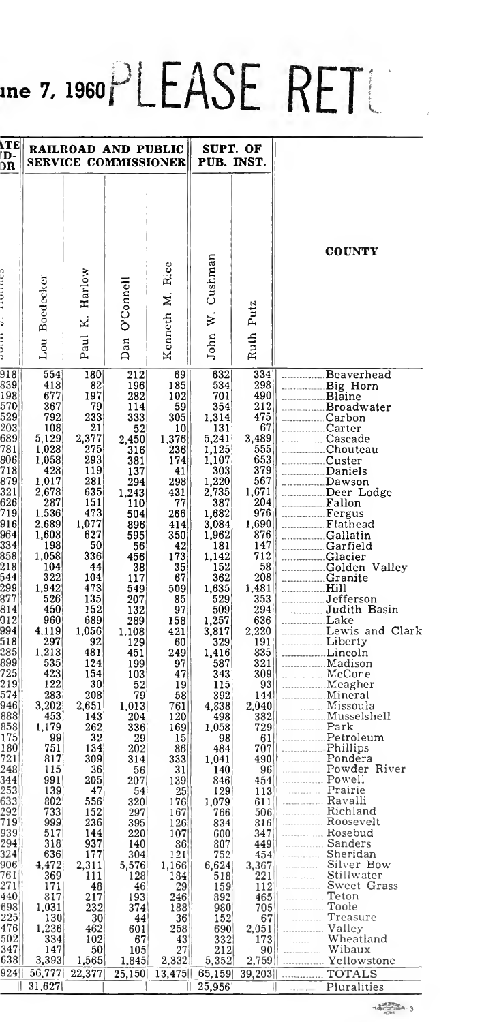# $\mu$ ne 7, 1960 $\mathsf{PLEASE}\ \mathsf{RET}$

| <b>ITE</b><br>D-<br>DR                                                                                                                                                                                                                                                                                                                                                                                                       |                                                                                                                                                                                                                                                                                                                                                                                                                                |                                                                                                                                                                                                                                                                                                                                                                                            | RAILROAD AND PUBLIC<br>SERVICE COMMISSIONER                                                                                                                                                                                                                                                                                                                                                  |                                                                                                                                                                                                                                                                                                                                                                           | SUPT. OF<br>PUB. INST.                                                                                                                                                                                                                                                                                                                                                                                                             |                                                                                                                                                                                                                                                                                                                                                                                                                             |                                                                                                                                                                                                                                                                                                                                                                                                                                                                                                                                                                                           |
|------------------------------------------------------------------------------------------------------------------------------------------------------------------------------------------------------------------------------------------------------------------------------------------------------------------------------------------------------------------------------------------------------------------------------|--------------------------------------------------------------------------------------------------------------------------------------------------------------------------------------------------------------------------------------------------------------------------------------------------------------------------------------------------------------------------------------------------------------------------------|--------------------------------------------------------------------------------------------------------------------------------------------------------------------------------------------------------------------------------------------------------------------------------------------------------------------------------------------------------------------------------------------|----------------------------------------------------------------------------------------------------------------------------------------------------------------------------------------------------------------------------------------------------------------------------------------------------------------------------------------------------------------------------------------------|---------------------------------------------------------------------------------------------------------------------------------------------------------------------------------------------------------------------------------------------------------------------------------------------------------------------------------------------------------------------------|------------------------------------------------------------------------------------------------------------------------------------------------------------------------------------------------------------------------------------------------------------------------------------------------------------------------------------------------------------------------------------------------------------------------------------|-----------------------------------------------------------------------------------------------------------------------------------------------------------------------------------------------------------------------------------------------------------------------------------------------------------------------------------------------------------------------------------------------------------------------------|-------------------------------------------------------------------------------------------------------------------------------------------------------------------------------------------------------------------------------------------------------------------------------------------------------------------------------------------------------------------------------------------------------------------------------------------------------------------------------------------------------------------------------------------------------------------------------------------|
| ;<br>$\frac{1}{2}$                                                                                                                                                                                                                                                                                                                                                                                                           | Boedecker<br>Lou                                                                                                                                                                                                                                                                                                                                                                                                               | Harlow<br>Ż<br>Paul                                                                                                                                                                                                                                                                                                                                                                        | O'Connell<br>Dan                                                                                                                                                                                                                                                                                                                                                                             | Rice<br>Kenneth M.                                                                                                                                                                                                                                                                                                                                                        | Cushman<br>$\dot{\mathbf{z}}$<br>John                                                                                                                                                                                                                                                                                                                                                                                              | Ruth Putz                                                                                                                                                                                                                                                                                                                                                                                                                   | <b>COUNTY</b>                                                                                                                                                                                                                                                                                                                                                                                                                                                                                                                                                                             |
| 918<br>839<br>198<br>570<br>529<br>203<br>689<br>781<br>806<br>718<br>879<br>321<br>626<br>719<br>916<br>964<br>334<br>858<br>218<br>$\frac{1}{544}$<br>299<br>877<br>814<br>012<br>994<br>518<br>285<br>899<br>$\frac{1}{25}$<br>$\frac{219}{574}$<br>946<br>888<br>858 <br>175<br>180<br>721<br>248<br>344<br>253<br>633<br>292<br>719<br>939<br>294<br>324<br>906<br>761<br>271<br>440<br>698<br>225<br>476<br>502<br>347 | 554<br>418<br>677<br>367<br>792<br>108<br>5,129<br>1,028<br>1,058<br>428<br>1,017<br>2,678<br>287<br>1,536<br>2,689<br>1,608<br>198<br>1,058<br>104<br>322<br>1,942<br>526<br>450<br>960<br>4,119<br>297<br>1,213<br>535<br>423<br>122<br>283<br>3,202<br>453<br>1,179<br>99<br>751<br>817<br>115<br>991<br>139<br>802<br>733<br>999<br>517<br>318<br>636<br>4,472<br>369<br>171<br>817<br>1,031<br>130<br>1,236<br>334<br>147 | 180<br>82<br>197<br>79<br>233<br>21<br>2,377<br>275<br>293<br>119<br>281<br>635<br>151<br>473<br>1,077<br>627<br>50<br>336<br>44<br>104<br>473<br>135<br>152<br>689<br>1,056<br>92<br>481<br>124<br>154<br>30<br>208<br>2,651<br>143<br>262<br>32<br>134<br>309<br>36<br>205<br>47<br>556<br>152<br>236<br>144<br>937<br>177<br>2,311<br>111<br>48<br>217<br>232<br>30<br>462<br>102<br>50 | 212<br>196<br>282<br>114<br>333<br>52<br>2,450<br>316<br>381<br>137<br>294<br>1,243<br>110<br>504<br>896<br>595<br>56<br>456<br>38<br>117<br>549<br>207<br>132<br>289<br>1,108<br>129<br>451<br>199<br>103<br>52<br>79<br>1,013<br>204<br>336<br>29<br>202<br>314<br>56<br>207<br>54<br>320<br>297<br>395<br>220<br>140<br>304<br>5,576<br>128<br>46<br>193<br>374<br>44<br>601<br>67<br>105 | 69<br>185<br>102<br>59<br>305<br>10<br>1,376<br>236<br>174<br>41<br>298<br>431<br>77<br>266<br>414<br>350<br>42<br>173<br>35<br>67<br>509<br>85<br>97<br>158<br>421<br>60<br>249<br>97<br>47<br>19<br>58<br>761<br>120<br>169<br>15<br>86<br>333<br>31<br>139<br>25<br>176<br>167<br>126<br>107<br>86<br>121<br>1,166<br>184<br>29<br>246<br>188<br>36<br>258<br>43<br>27 | 632<br>534<br>701<br>354<br>1,314<br>131<br>5,241<br>1,125<br>1,107<br>303<br>1,220<br>2,735<br>387<br>1,682<br>3,084<br>1,962<br>181<br>1.142<br>152<br>362<br>1,635<br>529<br>509<br>1,257<br>3,817<br>329<br>1,416<br>587<br>343<br>115<br>392<br>4,838<br>498<br>1,058<br>98<br>484<br>1,041<br>140<br>846<br>129<br>1,079<br>766<br>834<br>600<br>807<br>752<br>6,624<br>518<br>159<br>892<br>980<br>152<br>690<br>332<br>212 | 334<br>298<br>490<br>212<br>475<br>67<br>3,489<br>555<br>653<br>379<br>567<br>1,671<br>204<br>976<br>1,690<br>876<br>147<br>712<br>58<br>208<br>1,481<br>353<br>294<br>636<br>2,220<br>191<br>835<br>321<br>309<br>93<br>144<br>2,040<br>382 <br>729<br>61<br>707 <br>490 lt<br>96<br>454<br>113<br>611<br>506<br>816<br>347<br>449<br>454<br>3,367<br>221<br>112<br>465<br>$705^{\circ}$<br>67  <br>2,051<br>173<br>90   I | Beaverhead<br>Big Horn<br>Blaine<br>Broadwater<br>Carbon<br>___________Carter<br>Cascade<br>Chouteau<br>Custer<br>Daniels<br>Dawson<br>Deer Lodge<br>Fallon<br>Fergus<br>Gallatin<br>Garfield<br>Glacier<br>Golden Valley<br>Granite<br>Hill<br>Judith Basin<br>Lake<br>Lewis and Clark<br>Lincoln<br>Madison<br>McCone<br>Meagher<br>Mineral<br>Missoula<br>Musselshell<br><u>Park</u><br>Pondera<br>Powder River<br>Powell<br><b>Example Prairie</b><br>Ravalli<br>Roosevelt<br>Rosebud<br>Sanders<br>Sheridan<br>Silver Bow<br>Stillwater<br>Sweet Grass<br>Teton<br>Toole<br>Treasure |
| 638 <br>924<br>Ш                                                                                                                                                                                                                                                                                                                                                                                                             | 3,393<br>56,777<br>31,627                                                                                                                                                                                                                                                                                                                                                                                                      | 1,565<br>22,377                                                                                                                                                                                                                                                                                                                                                                            | 1,845<br>25,150                                                                                                                                                                                                                                                                                                                                                                              | 2,332<br>13,475                                                                                                                                                                                                                                                                                                                                                           | 5,352<br>65,159<br>25,956                                                                                                                                                                                                                                                                                                                                                                                                          | 2,759<br>39,203                                                                                                                                                                                                                                                                                                                                                                                                             | Yellowstone<br>TOTALS<br>Pluralities                                                                                                                                                                                                                                                                                                                                                                                                                                                                                                                                                      |
|                                                                                                                                                                                                                                                                                                                                                                                                                              |                                                                                                                                                                                                                                                                                                                                                                                                                                |                                                                                                                                                                                                                                                                                                                                                                                            |                                                                                                                                                                                                                                                                                                                                                                                              |                                                                                                                                                                                                                                                                                                                                                                           |                                                                                                                                                                                                                                                                                                                                                                                                                                    |                                                                                                                                                                                                                                                                                                                                                                                                                             |                                                                                                                                                                                                                                                                                                                                                                                                                                                                                                                                                                                           |